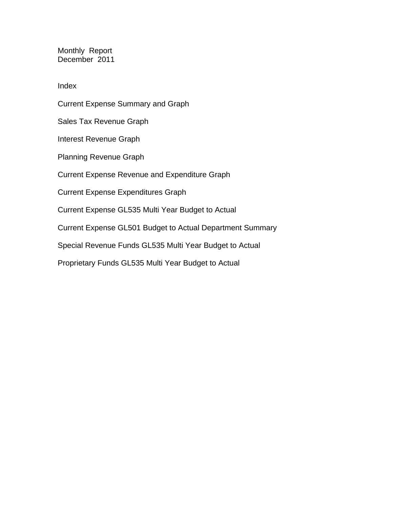Monthly Report December 2011

Index

Current Expense Summary and Graph Sales Tax Revenue Graph Interest Revenue Graph Planning Revenue Graph Current Expense Revenue and Expenditure Graph Current Expense Expenditures Graph Current Expense GL535 Multi Year Budget to Actual Current Expense GL501 Budget to Actual Department Summary Special Revenue Funds GL535 Multi Year Budget to Actual Proprietary Funds GL535 Multi Year Budget to Actual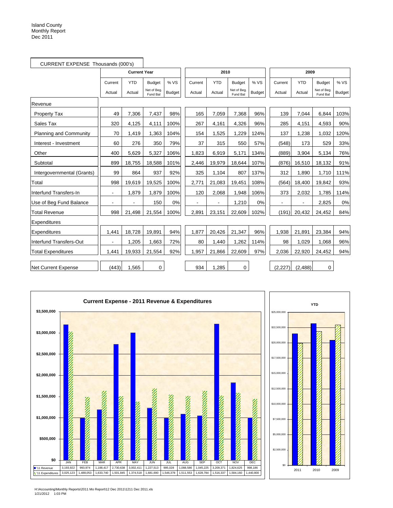| CURRENT EXPENSE Thousands (000's) |                |                     |                         |               |         |            |                         |               |         |            |                         |               |
|-----------------------------------|----------------|---------------------|-------------------------|---------------|---------|------------|-------------------------|---------------|---------|------------|-------------------------|---------------|
|                                   |                | <b>Current Year</b> |                         |               |         | 2010       |                         |               |         | 2009       |                         |               |
|                                   | Current        | <b>YTD</b>          | <b>Budget</b>           | % VS          | Current | <b>YTD</b> | <b>Budget</b>           | % VS          | Current | <b>YTD</b> | <b>Budget</b>           | % VS          |
|                                   | Actual         | Actual              | Net of Beg.<br>Fund Bal | <b>Budget</b> | Actual  | Actual     | Net of Beg.<br>Fund Bal | <b>Budget</b> | Actual  | Actual     | Net of Beg.<br>Fund Bal | <b>Budget</b> |
| Revenue                           |                |                     |                         |               |         |            |                         |               |         |            |                         |               |
| <b>Property Tax</b>               | 49             | 7,306               | 7,437                   | 98%           | 165     | 7,059      | 7,368                   | 96%           | 139     | 7,044      | 6.844                   | 103%          |
| Sales Tax                         | 320            | 4,125               | 4,111                   | 100%          | 267     | 4,161      | 4,326                   | 96%           | 285     | 4,151      | 4,593                   | 90%           |
| <b>Planning and Community</b>     | 70             | 1,419               | 1,363                   | 104%          | 154     | 1,525      | 1.229                   | 124%          | 137     | 1,238      | 1.032                   | 120%          |
| Interest - Investment             | 60             | 276                 | 350                     | 79%           | 37      | 315        | 550                     | 57%           | (548)   | 173        | 529                     | 33%           |
| Other                             | 400            | 5,629               | 5,327                   | 106%          | 1,823   | 6,919      | 5,171                   | 134%          | (889)   | 3,904      | 5,134                   | 76%           |
| Subtotal                          | 899            | 18,755              | 18,588                  | 101%          | 2,446   | 19,979     | 18,644                  | 107%          | (876)   | 16,510     | 18,132                  | 91%           |
| Intergovernmental (Grants)        | 99             | 864                 | 937                     | 92%           | 325     | 1,104      | 807                     | 137%          | 312     | 1,890      | 1,710                   | 111%          |
| Total                             | 998            | 19,619              | 19,525                  | 100%          | 2,771   | 21,083     | 19,451                  | 108%          | (564)   | 18,400     | 19,842                  | 93%           |
| Interfund Transfers-In            | $\blacksquare$ | 1.879               | 1,879                   | 100%          | 120     | 2.068      | 1,948                   | 106%          | 373     | 2,032      | 1.785                   | 114%          |
| Use of Beg Fund Balance           |                |                     | 150                     | 0%            |         |            | 1,210                   | 0%            |         |            | 2,825                   | 0%            |
| <b>Total Revenue</b>              | 998            | 21,498              | 21,554                  | 100%          | 2,891   | 23,151     | 22,609                  | 102%          | (191)   | 20,432     | 24,452                  | 84%           |
| Expenditures                      |                |                     |                         |               |         |            |                         |               |         |            |                         |               |
| Expenditures                      | 1,441          | 18,728              | 19,891                  | 94%           | 1,877   | 20,426     | 21,347                  | 96%           | 1,938   | 21,891     | 23,384                  | 94%           |
| Interfund Transfers-Out           |                | 1,205               | 1,663                   | 72%           | 80      | 1,440      | 1,262                   | 114%          | 98      | 1,029      | 1.068                   | 96%           |
| <b>Total Expenditures</b>         | 1,441          | 19,933              | 21,554                  | 92%           | 1,957   | 21,866     | 22,609                  | 97%           | 2,036   | 22,920     | 24,452                  | 94%           |
| <b>Net Current Expense</b>        | (443)          | 1,565               | 0                       |               | 934     | 1,285      | 0                       |               | (2,227) | (2,488)    | 0                       |               |





H:\Accounting\Monthly Reports\2011 Mo Report\12 Dec 2011\1211 Dec 2011.xls 1/21/2012 1:03 PM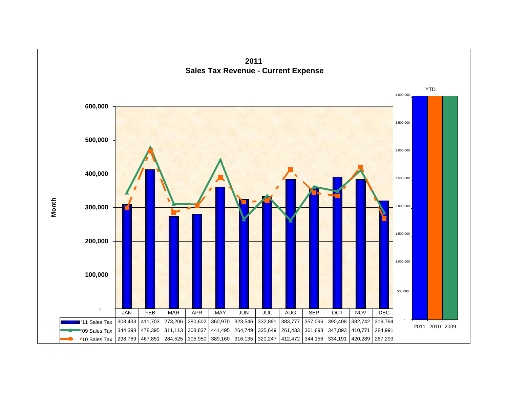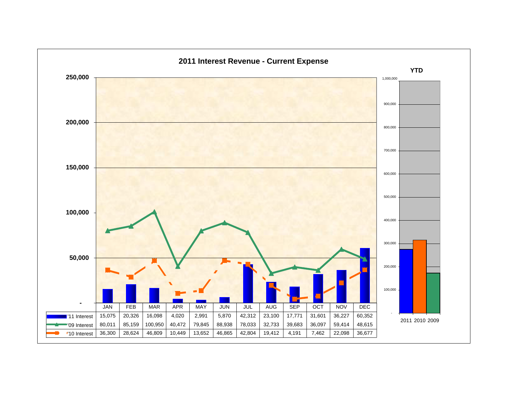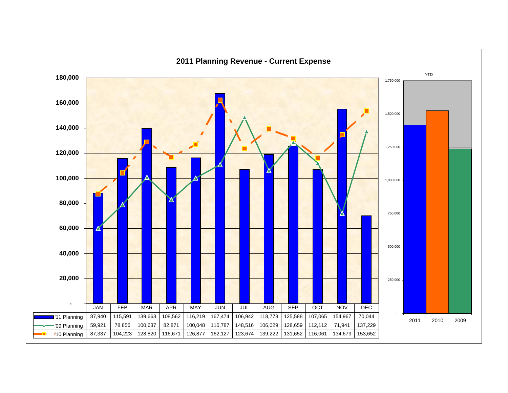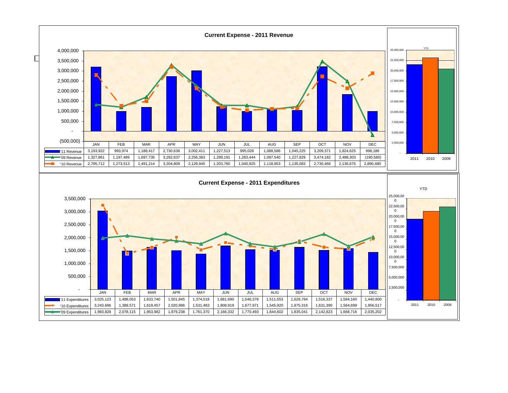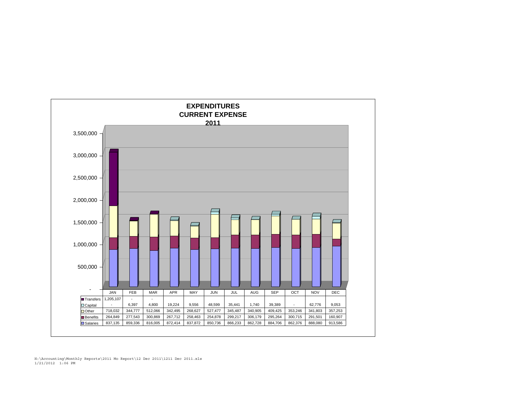

H:\Accounting\Monthly Reports\2011 Mo Report\12 Dec 2011\1211 Dec 2011.xls 1/21/2012 1:06 PM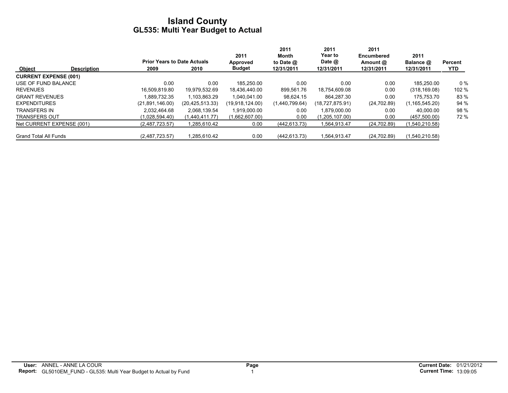|                              |                                    |                 |                    | 2011             | 2011<br>Month  | 2011<br>Year to | 2011<br><b>Encumbered</b> | 2011             |         |
|------------------------------|------------------------------------|-----------------|--------------------|------------------|----------------|-----------------|---------------------------|------------------|---------|
|                              | <b>Prior Years to Date Actuals</b> |                 |                    | Approved         | to Date $@$    | Date $@$        | Amount @                  | Balance @        | Percent |
| <b>Object</b>                | <b>Description</b>                 | 2009            | 2010               | <b>Budget</b>    | 12/31/2011     | 12/31/2011      | 12/31/2011                | 12/31/2011       | YTD.    |
| <b>CURRENT EXPENSE (001)</b> |                                    |                 |                    |                  |                |                 |                           |                  |         |
| USE OF FUND BALANCE          |                                    | 0.00            | 0.00               | 185.250.00       | 0.00           | 0.00            | 0.00                      | 185.250.00       | 0 %     |
| <b>REVENUES</b>              |                                    | 16.509.819.80   | 19.979.532.69      | 18,436,440.00    | 899.561.76     | 18,754,609.08   | 0.00                      | (318, 169.08)    | 102 %   |
| <b>GRANT REVENUES</b>        |                                    | 1.889.732.35    | 1.103.863.29       | 1.040.041.00     | 98.624.15      | 864.287.30      | 0.00                      | 175.753.70       | 83 %    |
| <b>EXPENDITURES</b>          |                                    | (21,891,146.00) | (20, 425, 513, 33) | (19.918, 124.00) | (1,440,799.64) | (18,727,875.91) | (24, 702.89)              | (1, 165, 545.20) | 94 %    |
| <b>TRANSFERS IN</b>          |                                    | 2.032.464.68    | 2.068.139.54       | 1.919.000.00     | 0.00           | 1.879.000.00    | 0.00                      | 40.000.00        | 98 %    |
| <b>TRANSFERS OUT</b>         |                                    | (1,028,594.40)  | (1.440.411.77)     | (1,662,607.00)   | 0.00           | (1,205,107.00)  | 0.00                      | (457,500.00)     | 72 %    |
| Net CURRENT EXPENSE (001)    |                                    | (2,487,723.57)  | 1,285,610.42       | 0.00             | (442, 613.73)  | 1.564.913.47    | (24, 702.89)              | (1,540,210.58)   |         |
| <b>Grand Total All Funds</b> |                                    | (2,487,723.57)  | 1,285,610.42       | 0.00             | (442.613.73)   | 1,564,913.47    | (24, 702.89)              | (1,540,210.58)   |         |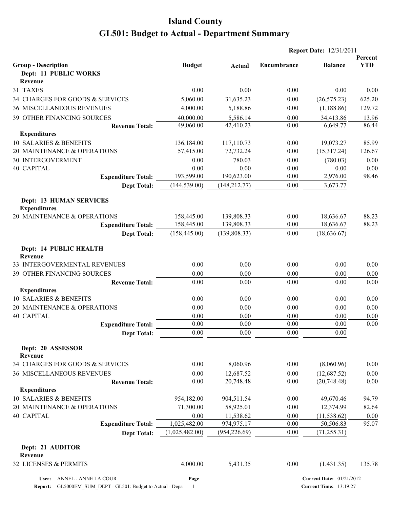|                                                       |                |                |              | <b>Report Date: 12/31/2011</b> |                       |  |  |
|-------------------------------------------------------|----------------|----------------|--------------|--------------------------------|-----------------------|--|--|
| <b>Group - Description</b>                            | <b>Budget</b>  | Actual         | Encumbrance  | <b>Balance</b>                 | Percent<br><b>YTD</b> |  |  |
| Dept: 11 PUBLIC WORKS                                 |                |                |              |                                |                       |  |  |
| Revenue                                               |                |                |              |                                |                       |  |  |
| 31 TAXES                                              | 0.00           | 0.00           | 0.00         | 0.00                           | 0.00                  |  |  |
| 34 CHARGES FOR GOODS & SERVICES                       | 5,060.00       | 31,635.23      | 0.00         | (26, 575.23)                   | 625.20                |  |  |
| <b>36 MISCELLANEOUS REVENUES</b>                      | 4,000.00       | 5,188.86       | 0.00         | (1, 188.86)                    | 129.72                |  |  |
| 39 OTHER FINANCING SOURCES                            | 40,000.00      | 5,586.14       | 0.00         | 34,413.86                      | 13.96                 |  |  |
| <b>Revenue Total:</b>                                 | 49,060.00      | 42,410.23      | 0.00         | 6,649.77                       | 86.44                 |  |  |
| <b>Expenditures</b>                                   |                |                |              |                                |                       |  |  |
| 10 SALARIES & BENEFITS                                | 136,184.00     | 117,110.73     | 0.00         | 19,073.27                      | 85.99                 |  |  |
| 20 MAINTENANCE & OPERATIONS                           | 57,415.00      | 72,732.24      | 0.00         | (15,317.24)                    | 126.67                |  |  |
| <b>30 INTERGOVERMENT</b><br><b>40 CAPITAL</b>         | 0.00<br>0.00   | 780.03<br>0.00 | 0.00<br>0.00 | (780.03)<br>0.00               | 0.00                  |  |  |
| <b>Expenditure Total:</b>                             | 193,599.00     | 190,623.00     | 0.00         | 2,976.00                       | 0.00<br>98.46         |  |  |
| <b>Dept Total:</b>                                    | (144, 539.00)  | (148, 212.77)  | $0.00\,$     | 3,673.77                       |                       |  |  |
|                                                       |                |                |              |                                |                       |  |  |
| <b>Dept: 13 HUMAN SERVICES</b><br><b>Expenditures</b> |                |                |              |                                |                       |  |  |
| 20 MAINTENANCE & OPERATIONS                           | 158,445.00     | 139,808.33     | 0.00         | 18,636.67                      | 88.23                 |  |  |
| <b>Expenditure Total:</b>                             | 158,445.00     | 139,808.33     | 0.00         | 18,636.67                      | 88.23                 |  |  |
| <b>Dept Total:</b>                                    | (158, 445.00)  | (139, 808.33)  | 0.00         | (18, 636.67)                   |                       |  |  |
| Dept: 14 PUBLIC HEALTH<br>Revenue                     |                |                |              |                                |                       |  |  |
| 33 INTERGOVERMENTAL REVENUES                          | 0.00           | 0.00           | 0.00         | 0.00                           | 0.00                  |  |  |
| 39 OTHER FINANCING SOURCES                            | 0.00           | 0.00           | 0.00         | 0.00                           | 0.00                  |  |  |
| <b>Revenue Total:</b>                                 | 0.00           | 0.00           | 0.00         | 0.00                           | 0.00                  |  |  |
| <b>Expenditures</b>                                   |                |                |              |                                |                       |  |  |
| 10 SALARIES & BENEFITS                                | 0.00           | 0.00           | 0.00         | 0.00                           | 0.00                  |  |  |
| 20 MAINTENANCE & OPERATIONS                           | 0.00           | 0.00           | 0.00         | 0.00                           | 0.00                  |  |  |
| 40 CAPITAL                                            | 0.00           | 0.00           | 0.00         | 0.00                           | 0.00                  |  |  |
| <b>Expenditure Total:</b>                             | 0.00           | 0.00           | 0.00         | 0.00                           | 0.00                  |  |  |
| <b>Dept Total:</b>                                    | 0.00           | 0.00           | 0.00         | 0.00                           |                       |  |  |
| Dept: 20 ASSESSOR<br>Revenue                          |                |                |              |                                |                       |  |  |
| 34 CHARGES FOR GOODS & SERVICES                       | 0.00           | 8,060.96       | 0.00         | (8,060.96)                     | 0.00                  |  |  |
| 36 MISCELLANEOUS REVENUES                             | 0.00           | 12,687.52      | 0.00         | (12, 687.52)                   | 0.00                  |  |  |
| <b>Revenue Total:</b>                                 | 0.00           | 20,748.48      | 0.00         | (20,748.48)                    | 0.00                  |  |  |
| <b>Expenditures</b>                                   |                |                |              |                                |                       |  |  |
| 10 SALARIES & BENEFITS                                | 954,182.00     | 904,511.54     | 0.00         | 49,670.46                      | 94.79                 |  |  |
| 20 MAINTENANCE & OPERATIONS                           | 71,300.00      | 58,925.01      | 0.00         | 12,374.99                      | 82.64                 |  |  |
| 40 CAPITAL                                            | 0.00           | 11,538.62      | 0.00         | (11, 538.62)                   | 0.00                  |  |  |
| <b>Expenditure Total:</b>                             | 1,025,482.00   | 974,975.17     | 0.00         | 50,506.83                      | 95.07                 |  |  |
| <b>Dept Total:</b>                                    | (1,025,482.00) | (954, 226.69)  | 0.00         | (71, 255.31)                   |                       |  |  |
| Dept: 21 AUDITOR<br>Revenue                           |                |                |              |                                |                       |  |  |
| 32 LICENSES & PERMITS                                 | 4,000.00       | 5,431.35       | 0.00         | (1,431.35)                     | 135.78                |  |  |

**Report:** GL5000EM\_SUM\_DEPT - GL501: Budget to Actual - Depa 1

**Page**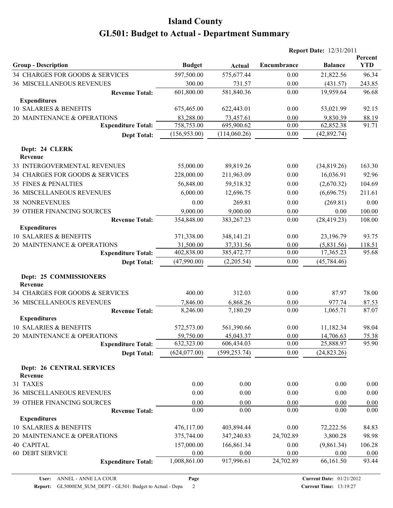|                                                               |                      |                      |              | <b>Report Date: 12/31/2011</b> |                       |
|---------------------------------------------------------------|----------------------|----------------------|--------------|--------------------------------|-----------------------|
|                                                               |                      |                      | Encumbrance  |                                | Percent<br><b>YTD</b> |
| <b>Group - Description</b><br>34 CHARGES FOR GOODS & SERVICES | <b>Budget</b>        | Actual               |              | <b>Balance</b>                 |                       |
|                                                               | 597,500.00           | 575,677.44           | 0.00         | 21,822.56                      | 96.34                 |
| 36 MISCELLANEOUS REVENUES                                     | 300.00<br>601,800.00 | 731.57<br>581,840.36 | 0.00<br>0.00 | (431.57)<br>19,959.64          | 243.85<br>96.68       |
| <b>Revenue Total:</b><br><b>Expenditures</b>                  |                      |                      |              |                                |                       |
| 10 SALARIES & BENEFITS                                        | 675,465.00           | 622,443.01           | 0.00         | 53,021.99                      | 92.15                 |
| 20 MAINTENANCE & OPERATIONS                                   | 83,288.00            | 73,457.61            | 0.00         | 9,830.39                       | 88.19                 |
| <b>Expenditure Total:</b>                                     | 758,753.00           | 695,900.62           | 0.00         | 62,852.38                      | 91.71                 |
| <b>Dept Total:</b>                                            | (156,953.00)         | (114,060.26)         | 0.00         | (42, 892.74)                   |                       |
|                                                               |                      |                      |              |                                |                       |
| Dept: 24 CLERK<br>Revenue                                     |                      |                      |              |                                |                       |
| 33 INTERGOVERMENTAL REVENUES                                  | 55,000.00            | 89,819.26            | 0.00         | (34,819.26)                    | 163.30                |
| 34 CHARGES FOR GOODS & SERVICES                               | 228,000.00           | 211,963.09           | 0.00         | 16,036.91                      | 92.96                 |
| 35 FINES & PENALTIES                                          | 56,848.00            | 59,518.32            | 0.00         | (2,670.32)                     | 104.69                |
| <b>36 MISCELLANEOUS REVENUES</b>                              | 6,000.00             | 12,696.75            | 0.00         | (6,696.75)                     | 211.61                |
|                                                               |                      |                      |              |                                |                       |
| <b>38 NONREVENUES</b>                                         | 0.00                 | 269.81               | 0.00         | (269.81)                       | 0.00                  |
| 39 OTHER FINANCING SOURCES                                    | 9,000.00             | 9,000.00             | 0.00         | 0.00                           | 100.00                |
| <b>Revenue Total:</b><br><b>Expenditures</b>                  | 354,848.00           | 383, 267. 23         | 0.00         | (28, 419.23)                   | 108.00                |
| 10 SALARIES & BENEFITS                                        | 371,338.00           | 348,141.21           | 0.00         | 23,196.79                      | 93.75                 |
| 20 MAINTENANCE & OPERATIONS                                   | 31,500.00            | 37,331.56            | 0.00         | (5,831.56)                     | 118.51                |
| <b>Expenditure Total:</b>                                     | 402,838.00           | 385,472.77           | 0.00         | 17,365.23                      | 95.68                 |
| <b>Dept Total:</b>                                            | (47,990.00)          | (2,205.54)           | 0.00         | (45, 784.46)                   |                       |
|                                                               |                      |                      |              |                                |                       |
| Dept: 25 COMMISSIONERS                                        |                      |                      |              |                                |                       |
| Revenue                                                       |                      |                      |              |                                |                       |
| 34 CHARGES FOR GOODS & SERVICES                               | 400.00               | 312.03               | 0.00         | 87.97                          | 78.00                 |
| <b>36 MISCELLANEOUS REVENUES</b>                              | 7,846.00             | 6,868.26             | 0.00         | 977.74                         | 87.53                 |
| <b>Revenue Total:</b>                                         | 8,246.00             | 7,180.29             | 0.00         | 1,065.71                       | 87.07                 |
| <b>Expenditures</b>                                           |                      |                      |              |                                |                       |
| 10 SALARIES & BENEFITS                                        | 572,573.00           | 561,390.66           | 0.00         | 11,182.34                      | 98.04                 |
| 20 MAINTENANCE & OPERATIONS                                   | 59,750.00            | 45,043.37            | $0.00\,$     | 14,706.63                      | 75.38                 |
| <b>Expenditure Total:</b>                                     | 632,323.00           | 606,434.03           | 0.00         | 25,888.97                      | 95.90                 |
| <b>Dept Total:</b>                                            | (624, 077.00)        | (599, 253.74)        | 0.00         | (24, 823.26)                   |                       |
| <b>Dept: 26 CENTRAL SERVICES</b>                              |                      |                      |              |                                |                       |
| Revenue                                                       |                      |                      |              |                                |                       |
| 31 TAXES                                                      | 0.00                 | 0.00                 | 0.00         | 0.00                           | 0.00                  |
| <b>36 MISCELLANEOUS REVENUES</b>                              | 0.00                 | 0.00                 | 0.00         | 0.00                           | 0.00                  |
| 39 OTHER FINANCING SOURCES                                    | 0.00                 | 0.00                 | 0.00         | 0.00                           | 0.00                  |
| <b>Revenue Total:</b>                                         | 0.00                 | 0.00                 | 0.00         | 0.00                           | 0.00                  |
| <b>Expenditures</b>                                           |                      |                      |              |                                |                       |
| 10 SALARIES & BENEFITS                                        | 476,117.00           | 403,894.44           | 0.00         | 72,222.56                      | 84.83                 |
| 20 MAINTENANCE & OPERATIONS                                   | 375,744.00           | 347,240.83           | 24,702.89    | 3,800.28                       | 98.98                 |
| <b>40 CAPITAL</b>                                             | 157,000.00           | 166,861.34           | 0.00         | (9,861.34)                     | 106.28                |
| <b>60 DEBT SERVICE</b>                                        | 0.00                 | 0.00                 | 0.00         | 0.00                           | 0.00                  |
| <b>Expenditure Total:</b>                                     | 1,008,861.00         | 917,996.61           | 24,702.89    | 66,161.50                      | 93.44                 |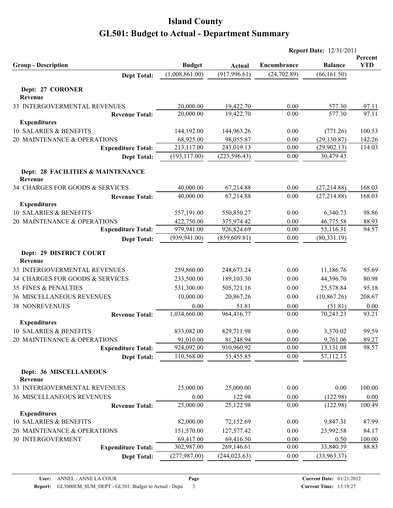| <b>Group - Description</b><br><b>Dept Total:</b> | <b>Budget</b><br>(1,008,861.00) | Actual        |              |                | Percent    |
|--------------------------------------------------|---------------------------------|---------------|--------------|----------------|------------|
|                                                  |                                 |               |              |                |            |
|                                                  |                                 |               | Encumbrance  | <b>Balance</b> | <b>YTD</b> |
|                                                  |                                 | (917, 996.61) | (24, 702.89) | (66, 161.50)   |            |
| Dept: 27 CORONER                                 |                                 |               |              |                |            |
| Revenue                                          |                                 |               |              |                |            |
| 33 INTERGOVERMENTAL REVENUES                     | 20,000.00                       | 19,422.70     | 0.00         | 577.30         | 97.11      |
| <b>Revenue Total:</b>                            | 20,000.00                       | 19,422.70     | 0.00         | 577.30         | 97.11      |
| <b>Expenditures</b>                              |                                 |               |              |                |            |
| 10 SALARIES & BENEFITS                           | 144,192.00                      | 144,963.26    | 0.00         | (771.26)       | 100.53     |
| 20 MAINTENANCE & OPERATIONS                      | 68,925.00                       | 98,055.87     | 0.00         | (29, 130.87)   | 142.26     |
| <b>Expenditure Total:</b>                        | 213,117.00                      | 243,019.13    | 0.00         | (29,902.13)    | 114.03     |
| <b>Dept Total:</b>                               | (193, 117.00)                   | (223, 596.43) | 0.00         | 30,479.43      |            |
| Dept: 28 FACILITIES & MAINTENANCE<br>Revenue     |                                 |               |              |                |            |
| 34 CHARGES FOR GOODS & SERVICES                  | 40,000.00                       | 67,214.88     | 0.00         | (27, 214.88)   | 168.03     |
| <b>Revenue Total:</b>                            | 40,000.00                       | 67,214.88     | 0.00         | (27, 214.88)   | 168.03     |
| <b>Expenditures</b>                              |                                 |               |              |                |            |
| 10 SALARIES & BENEFITS                           | 557,191.00                      | 550,850.27    | 0.00         | 6,340.73       | 98.86      |
| 20 MAINTENANCE & OPERATIONS                      | 422,750.00                      | 375,974.42    | 0.00         | 46,775.58      | 88.93      |
| <b>Expenditure Total:</b>                        | 979,941.00                      | 926,824.69    | 0.00         | 53,116.31      | 94.57      |
| <b>Dept Total:</b>                               | (939, 941.00)                   | (859, 609.81) | 0.00         | (80, 331.19)   |            |
| Dept: 29 DISTRICT COURT<br>Revenue               |                                 |               |              |                |            |
| 33 INTERGOVERMENTAL REVENUES                     | 259,860.00                      | 248,673.24    | 0.00         | 11,186.76      | 95.69      |
| 34 CHARGES FOR GOODS & SERVICES                  | 233,500.00                      | 189,103.30    | 0.00         | 44,396.70      | 80.98      |
| 35 FINES & PENALTIES                             | 531,300.00                      | 505,721.16    | 0.00         | 25,578.84      | 95.18      |
| <b>36 MISCELLANEOUS REVENUES</b>                 | 10,000.00                       | 20,867.26     | 0.00         | (10, 867.26)   | 208.67     |
| <b>38 NONREVENUES</b>                            | 0.00                            | 51.81         | 0.00         | (51.81)        | 0.00       |
| <b>Revenue Total:</b>                            | 1,034,660.00                    | 964,416.77    | 0.00         | 70,243.23      | 93.21      |
| <b>Expenditures</b>                              |                                 |               |              |                |            |
| 10 SALARIES & BENEFITS                           | 833,082.00                      | 829,711.98    | 0.00         | 3,370.02       | 99.59      |
| 20 MAINTENANCE & OPERATIONS                      | 91,010.00                       | 81,248.94     | 0.00         | 9,761.06       | 89.27      |
| <b>Expenditure Total:</b>                        | 924,092.00                      | 910,960.92    | 0.00         | 13,131.08      | 98.57      |
| <b>Dept Total:</b>                               | 110,568.00                      | 53,455.85     | 0.00         | 57,112.15      |            |
| Dept: 36 MISCELLANEOUS<br>Revenue                |                                 |               |              |                |            |
| 33 INTERGOVERMENTAL REVENUES                     | 25,000.00                       | 25,000.00     | 0.00         | 0.00           | 100.00     |
| 36 MISCELLANEOUS REVENUES                        | 0.00                            | 122.98        | 0.00         | (122.98)       | $0.00\,$   |
| <b>Revenue Total:</b>                            | 25,000.00                       | 25,122.98     | 0.00         | (122.98)       | 100.49     |
| <b>Expenditures</b>                              |                                 |               |              |                |            |
| 10 SALARIES & BENEFITS                           | 82,000.00                       | 72,152.69     | 0.00         | 9,847.31       | 87.99      |
| 20 MAINTENANCE & OPERATIONS                      | 151,570.00                      | 127,577.42    | 0.00         | 23,992.58      | 84.17      |
| 30 INTERGOVERMENT                                | 69,417.00                       | 69,416.50     | 0.00         | 0.50           | 100.00     |
| <b>Expenditure Total:</b>                        | 302,987.00                      | 269,146.61    | 0.00         | 33,840.39      | 88.83      |
| <b>Dept Total:</b>                               | (277, 987.00)                   | (244, 023.63) | $0.00\,$     | (33,963.37)    |            |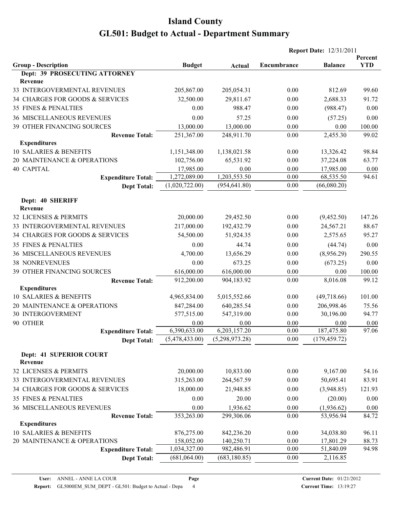|                                  |                      |                      | <b>Report Date: 12/31/2011</b> |                    |                       |  |
|----------------------------------|----------------------|----------------------|--------------------------------|--------------------|-----------------------|--|
| <b>Group - Description</b>       | <b>Budget</b>        |                      | Encumbrance                    | <b>Balance</b>     | Percent<br><b>YTD</b> |  |
| Dept: 39 PROSECUTING ATTORNEY    |                      | Actual               |                                |                    |                       |  |
| Revenue                          |                      |                      |                                |                    |                       |  |
| 33 INTERGOVERMENTAL REVENUES     | 205,867.00           | 205,054.31           | 0.00                           | 812.69             | 99.60                 |  |
| 34 CHARGES FOR GOODS & SERVICES  | 32,500.00            | 29,811.67            | 0.00                           | 2,688.33           | 91.72                 |  |
| 35 FINES & PENALTIES             | 0.00                 | 988.47               | 0.00                           | (988.47)           | 0.00                  |  |
| <b>36 MISCELLANEOUS REVENUES</b> | 0.00                 | 57.25                | 0.00                           | (57.25)            | 0.00                  |  |
| 39 OTHER FINANCING SOURCES       | 13,000.00            | 13,000.00            | 0.00                           | 0.00               | 100.00                |  |
| <b>Revenue Total:</b>            | 251,367.00           | 248,911.70           | $0.00\,$                       | 2,455.30           | 99.02                 |  |
| <b>Expenditures</b>              |                      |                      |                                |                    |                       |  |
| 10 SALARIES & BENEFITS           | 1,151,348.00         | 1,138,021.58         | 0.00                           | 13,326.42          | 98.84                 |  |
| 20 MAINTENANCE & OPERATIONS      | 102,756.00           | 65,531.92            | $0.00\,$                       | 37,224.08          | 63.77                 |  |
| <b>40 CAPITAL</b>                | 17,985.00            | 0.00                 | 0.00                           | 17,985.00          | 0.00                  |  |
| <b>Expenditure Total:</b>        | 1,272,089.00         | 1,203,553.50         | 0.00                           | 68,535.50          | 94.61                 |  |
| <b>Dept Total:</b>               | (1,020,722.00)       | (954, 641.80)        | $0.00\,$                       | (66,080.20)        |                       |  |
|                                  |                      |                      |                                |                    |                       |  |
| Dept: 40 SHERIFF                 |                      |                      |                                |                    |                       |  |
| Revenue                          |                      |                      |                                |                    |                       |  |
| 32 LICENSES & PERMITS            | 20,000.00            | 29,452.50            | 0.00                           | (9,452.50)         | 147.26                |  |
| 33 INTERGOVERMENTAL REVENUES     | 217,000.00           | 192,432.79           | 0.00                           | 24,567.21          | 88.67                 |  |
| 34 CHARGES FOR GOODS & SERVICES  | 54,500.00            | 51,924.35            | 0.00                           | 2,575.65           | 95.27                 |  |
| 35 FINES & PENALTIES             | 0.00                 | 44.74                | 0.00                           | (44.74)            | 0.00                  |  |
| 36 MISCELLANEOUS REVENUES        | 4,700.00             | 13,656.29            | 0.00                           | (8,956.29)         | 290.55                |  |
| <b>38 NONREVENUES</b>            | 0.00                 | 673.25               | 0.00                           | (673.25)           | 0.00                  |  |
| 39 OTHER FINANCING SOURCES       | 616,000.00           | 616,000.00           | 0.00                           | 0.00               | 100.00                |  |
| <b>Revenue Total:</b>            | 912,200.00           | 904,183.92           | 0.00                           | 8,016.08           | 99.12                 |  |
| <b>Expenditures</b>              |                      |                      |                                |                    |                       |  |
| 10 SALARIES & BENEFITS           | 4,965,834.00         | 5,015,552.66         | 0.00                           | (49,718.66)        | 101.00                |  |
| 20 MAINTENANCE & OPERATIONS      | 847,284.00           | 640,285.54           | 0.00                           | 206,998.46         | 75.56                 |  |
| 30 INTERGOVERMENT                | 577,515.00           | 547,319.00           | 0.00                           | 30,196.00          | 94.77                 |  |
| 90 OTHER                         | 0.00<br>6,390,633.00 | 0.00<br>6,203,157.20 | 0.00<br>0.00                   | 0.00<br>187,475.80 | $0.00\,$<br>97.06     |  |
| <b>Expenditure Total:</b>        | (5,478,433.00)       | (5,298,973.28)       | 0.00                           | (179, 459.72)      |                       |  |
| <b>Dept Total:</b>               |                      |                      |                                |                    |                       |  |
| <b>Dept: 41 SUPERIOR COURT</b>   |                      |                      |                                |                    |                       |  |
| Revenue                          |                      |                      |                                |                    |                       |  |
| 32 LICENSES & PERMITS            | 20,000.00            | 10,833.00            | 0.00                           | 9,167.00           | 54.16                 |  |
| 33 INTERGOVERMENTAL REVENUES     | 315,263.00           | 264,567.59           | 0.00                           | 50,695.41          | 83.91                 |  |
| 34 CHARGES FOR GOODS & SERVICES  | 18,000.00            | 21,948.85            | 0.00                           | (3,948.85)         | 121.93                |  |
| 35 FINES & PENALTIES             | 0.00                 | 20.00                | $0.00\,$                       | (20.00)            | 0.00                  |  |
| 36 MISCELLANEOUS REVENUES        | 0.00                 | 1,936.62             | 0.00                           | (1,936.62)         | 0.00                  |  |
| <b>Revenue Total:</b>            | 353,263.00           | 299,306.06           | 0.00                           | 53,956.94          | 84.72                 |  |
| <b>Expenditures</b>              |                      |                      |                                |                    |                       |  |
| 10 SALARIES & BENEFITS           | 876,275.00           | 842,236.20           | 0.00                           | 34,038.80          | 96.11                 |  |
| 20 MAINTENANCE & OPERATIONS      | 158,052.00           | 140,250.71           | 0.00                           | 17,801.29          | 88.73                 |  |
| <b>Expenditure Total:</b>        | 1,034,327.00         | 982,486.91           | 0.00                           | 51,840.09          | 94.98                 |  |
| <b>Dept Total:</b>               | (681,064.00)         | (683, 180.85)        | 0.00                           | 2,116.85           |                       |  |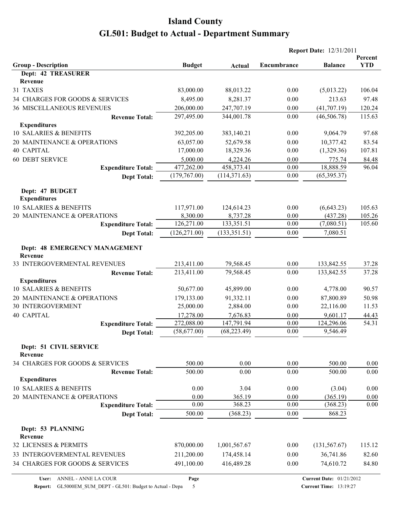| Percent<br><b>YTD</b><br><b>Budget</b><br>Encumbrance<br><b>Balance</b><br>Actual<br><b>Dept: 42 TREASURER</b><br>Revenue<br>83,000.00<br>88,013.22<br>0.00<br>106.04<br>(5,013.22)<br>97.48<br>8,495.00<br>8,281.37<br>213.63<br>0.00<br>206,000.00<br><b>36 MISCELLANEOUS REVENUES</b><br>247,707.19<br>0.00<br>(41,707.19)<br>120.24<br>115.63<br>297,495.00<br>344,001.78<br>0.00<br>(46,506.78)<br><b>Revenue Total:</b><br><b>Expenditures</b><br>9,064.79<br>97.68<br>392,205.00<br>383,140.21<br>0.00<br>10,377.42<br>83.54<br>63,057.00<br>52,679.58<br>0.00<br>17,000.00<br>18,329.36<br>0.00<br>(1,329.36)<br>107.81<br>5,000.00<br>4,224.26<br>0.00<br>775.74<br>84.48<br>477,262.00<br>96.04<br>458,373.41<br>0.00<br>18,888.59<br><b>Expenditure Total:</b><br>(179,767.00)<br>(114, 371.63)<br>0.00<br>(65, 395.37)<br><b>Dept Total:</b><br>Dept: 47 BUDGET<br><b>Expenditures</b><br>10 SALARIES & BENEFITS<br>105.63<br>117,971.00<br>124,614.23<br>0.00<br>(6,643.23)<br>20 MAINTENANCE & OPERATIONS<br>8,300.00<br>8,737.28<br>0.00<br>(437.28)<br>105.26<br>126,271.00<br>133,351.51<br>105.60<br>0.00<br>(7,080.51)<br><b>Expenditure Total:</b><br>(126, 271.00)<br>(133, 351.51)<br>0.00<br>7,080.51<br><b>Dept Total:</b><br>Dept: 48 EMERGENCY MANAGEMENT<br>Revenue<br>213,411.00<br>79,568.45<br>0.00<br>133,842.55<br>37.28<br>37.28<br>213,411.00<br>79,568.45<br>0.00<br>133,842.55<br><b>Revenue Total:</b><br><b>Expenditures</b><br>10 SALARIES & BENEFITS<br>0.00<br>4,778.00<br>90.57<br>50,677.00<br>45,899.00<br>20 MAINTENANCE & OPERATIONS<br>179,133.00<br>91,332.11<br>0.00<br>87,800.89<br>50.98<br><b>30 INTERGOVERMENT</b><br>25,000.00<br>2,884.00<br>0.00<br>22,116.00<br>11.53<br><b>40 CAPITAL</b><br>9,601.17<br>17,278.00<br>7,676.83<br>0.00<br>44.43<br>54.31<br>147,791.94<br>272,088.00<br>0.00<br>124,296.06<br><b>Expenditure Total:</b><br>(58,677.00)<br>(68, 223.49)<br>0.00<br>9,546.49<br><b>Dept Total:</b><br>Dept: 51 CIVIL SERVICE<br>Revenue<br>0.00<br>500.00<br>0.00<br>500.00<br>0.00<br>500.00<br>0.00<br>500.00<br>0.00<br><b>Revenue Total:</b><br>0.00<br><b>Expenditures</b><br>10 SALARIES & BENEFITS<br>0.00<br>3.04<br>0.00<br>(3.04)<br>0.00<br>(365.19)<br>20 MAINTENANCE & OPERATIONS<br>0.00<br>365.19<br>0.00<br>0.00<br>368.23<br>0.00<br>0.00<br>(368.23)<br>0.00<br><b>Expenditure Total:</b><br>500.00<br>(368.23)<br>0.00<br>868.23<br><b>Dept Total:</b><br>Dept: 53 PLANNING<br>Revenue<br>870,000.00<br>115.12<br>1,001,567.67<br>0.00<br>(131, 567.67)<br>211,200.00<br>174,458.14<br>0.00<br>36,741.86<br>82.60<br>491,100.00<br>84.80<br>34 CHARGES FOR GOODS & SERVICES<br>416,489.28<br>0.00<br>74,610.72 |                                 |  | <b>Report Date: 12/31/2011</b> |  |
|-----------------------------------------------------------------------------------------------------------------------------------------------------------------------------------------------------------------------------------------------------------------------------------------------------------------------------------------------------------------------------------------------------------------------------------------------------------------------------------------------------------------------------------------------------------------------------------------------------------------------------------------------------------------------------------------------------------------------------------------------------------------------------------------------------------------------------------------------------------------------------------------------------------------------------------------------------------------------------------------------------------------------------------------------------------------------------------------------------------------------------------------------------------------------------------------------------------------------------------------------------------------------------------------------------------------------------------------------------------------------------------------------------------------------------------------------------------------------------------------------------------------------------------------------------------------------------------------------------------------------------------------------------------------------------------------------------------------------------------------------------------------------------------------------------------------------------------------------------------------------------------------------------------------------------------------------------------------------------------------------------------------------------------------------------------------------------------------------------------------------------------------------------------------------------------------------------------------------------------------------------------------------------------------------------------------------------------------------------------------------------------------------------------------------------------------------------------------------------------------------------------------------------------------------------------------------------------------------------------------------------------------------------------------------------------------------------------|---------------------------------|--|--------------------------------|--|
|                                                                                                                                                                                                                                                                                                                                                                                                                                                                                                                                                                                                                                                                                                                                                                                                                                                                                                                                                                                                                                                                                                                                                                                                                                                                                                                                                                                                                                                                                                                                                                                                                                                                                                                                                                                                                                                                                                                                                                                                                                                                                                                                                                                                                                                                                                                                                                                                                                                                                                                                                                                                                                                                                                           | <b>Group - Description</b>      |  |                                |  |
|                                                                                                                                                                                                                                                                                                                                                                                                                                                                                                                                                                                                                                                                                                                                                                                                                                                                                                                                                                                                                                                                                                                                                                                                                                                                                                                                                                                                                                                                                                                                                                                                                                                                                                                                                                                                                                                                                                                                                                                                                                                                                                                                                                                                                                                                                                                                                                                                                                                                                                                                                                                                                                                                                                           |                                 |  |                                |  |
|                                                                                                                                                                                                                                                                                                                                                                                                                                                                                                                                                                                                                                                                                                                                                                                                                                                                                                                                                                                                                                                                                                                                                                                                                                                                                                                                                                                                                                                                                                                                                                                                                                                                                                                                                                                                                                                                                                                                                                                                                                                                                                                                                                                                                                                                                                                                                                                                                                                                                                                                                                                                                                                                                                           |                                 |  |                                |  |
|                                                                                                                                                                                                                                                                                                                                                                                                                                                                                                                                                                                                                                                                                                                                                                                                                                                                                                                                                                                                                                                                                                                                                                                                                                                                                                                                                                                                                                                                                                                                                                                                                                                                                                                                                                                                                                                                                                                                                                                                                                                                                                                                                                                                                                                                                                                                                                                                                                                                                                                                                                                                                                                                                                           | 31 TAXES                        |  |                                |  |
|                                                                                                                                                                                                                                                                                                                                                                                                                                                                                                                                                                                                                                                                                                                                                                                                                                                                                                                                                                                                                                                                                                                                                                                                                                                                                                                                                                                                                                                                                                                                                                                                                                                                                                                                                                                                                                                                                                                                                                                                                                                                                                                                                                                                                                                                                                                                                                                                                                                                                                                                                                                                                                                                                                           | 34 CHARGES FOR GOODS & SERVICES |  |                                |  |
|                                                                                                                                                                                                                                                                                                                                                                                                                                                                                                                                                                                                                                                                                                                                                                                                                                                                                                                                                                                                                                                                                                                                                                                                                                                                                                                                                                                                                                                                                                                                                                                                                                                                                                                                                                                                                                                                                                                                                                                                                                                                                                                                                                                                                                                                                                                                                                                                                                                                                                                                                                                                                                                                                                           |                                 |  |                                |  |
|                                                                                                                                                                                                                                                                                                                                                                                                                                                                                                                                                                                                                                                                                                                                                                                                                                                                                                                                                                                                                                                                                                                                                                                                                                                                                                                                                                                                                                                                                                                                                                                                                                                                                                                                                                                                                                                                                                                                                                                                                                                                                                                                                                                                                                                                                                                                                                                                                                                                                                                                                                                                                                                                                                           |                                 |  |                                |  |
|                                                                                                                                                                                                                                                                                                                                                                                                                                                                                                                                                                                                                                                                                                                                                                                                                                                                                                                                                                                                                                                                                                                                                                                                                                                                                                                                                                                                                                                                                                                                                                                                                                                                                                                                                                                                                                                                                                                                                                                                                                                                                                                                                                                                                                                                                                                                                                                                                                                                                                                                                                                                                                                                                                           |                                 |  |                                |  |
|                                                                                                                                                                                                                                                                                                                                                                                                                                                                                                                                                                                                                                                                                                                                                                                                                                                                                                                                                                                                                                                                                                                                                                                                                                                                                                                                                                                                                                                                                                                                                                                                                                                                                                                                                                                                                                                                                                                                                                                                                                                                                                                                                                                                                                                                                                                                                                                                                                                                                                                                                                                                                                                                                                           | 10 SALARIES & BENEFITS          |  |                                |  |
|                                                                                                                                                                                                                                                                                                                                                                                                                                                                                                                                                                                                                                                                                                                                                                                                                                                                                                                                                                                                                                                                                                                                                                                                                                                                                                                                                                                                                                                                                                                                                                                                                                                                                                                                                                                                                                                                                                                                                                                                                                                                                                                                                                                                                                                                                                                                                                                                                                                                                                                                                                                                                                                                                                           | 20 MAINTENANCE & OPERATIONS     |  |                                |  |
|                                                                                                                                                                                                                                                                                                                                                                                                                                                                                                                                                                                                                                                                                                                                                                                                                                                                                                                                                                                                                                                                                                                                                                                                                                                                                                                                                                                                                                                                                                                                                                                                                                                                                                                                                                                                                                                                                                                                                                                                                                                                                                                                                                                                                                                                                                                                                                                                                                                                                                                                                                                                                                                                                                           | 40 CAPITAL                      |  |                                |  |
|                                                                                                                                                                                                                                                                                                                                                                                                                                                                                                                                                                                                                                                                                                                                                                                                                                                                                                                                                                                                                                                                                                                                                                                                                                                                                                                                                                                                                                                                                                                                                                                                                                                                                                                                                                                                                                                                                                                                                                                                                                                                                                                                                                                                                                                                                                                                                                                                                                                                                                                                                                                                                                                                                                           | <b>60 DEBT SERVICE</b>          |  |                                |  |
|                                                                                                                                                                                                                                                                                                                                                                                                                                                                                                                                                                                                                                                                                                                                                                                                                                                                                                                                                                                                                                                                                                                                                                                                                                                                                                                                                                                                                                                                                                                                                                                                                                                                                                                                                                                                                                                                                                                                                                                                                                                                                                                                                                                                                                                                                                                                                                                                                                                                                                                                                                                                                                                                                                           |                                 |  |                                |  |
|                                                                                                                                                                                                                                                                                                                                                                                                                                                                                                                                                                                                                                                                                                                                                                                                                                                                                                                                                                                                                                                                                                                                                                                                                                                                                                                                                                                                                                                                                                                                                                                                                                                                                                                                                                                                                                                                                                                                                                                                                                                                                                                                                                                                                                                                                                                                                                                                                                                                                                                                                                                                                                                                                                           |                                 |  |                                |  |
|                                                                                                                                                                                                                                                                                                                                                                                                                                                                                                                                                                                                                                                                                                                                                                                                                                                                                                                                                                                                                                                                                                                                                                                                                                                                                                                                                                                                                                                                                                                                                                                                                                                                                                                                                                                                                                                                                                                                                                                                                                                                                                                                                                                                                                                                                                                                                                                                                                                                                                                                                                                                                                                                                                           |                                 |  |                                |  |
|                                                                                                                                                                                                                                                                                                                                                                                                                                                                                                                                                                                                                                                                                                                                                                                                                                                                                                                                                                                                                                                                                                                                                                                                                                                                                                                                                                                                                                                                                                                                                                                                                                                                                                                                                                                                                                                                                                                                                                                                                                                                                                                                                                                                                                                                                                                                                                                                                                                                                                                                                                                                                                                                                                           |                                 |  |                                |  |
|                                                                                                                                                                                                                                                                                                                                                                                                                                                                                                                                                                                                                                                                                                                                                                                                                                                                                                                                                                                                                                                                                                                                                                                                                                                                                                                                                                                                                                                                                                                                                                                                                                                                                                                                                                                                                                                                                                                                                                                                                                                                                                                                                                                                                                                                                                                                                                                                                                                                                                                                                                                                                                                                                                           |                                 |  |                                |  |
|                                                                                                                                                                                                                                                                                                                                                                                                                                                                                                                                                                                                                                                                                                                                                                                                                                                                                                                                                                                                                                                                                                                                                                                                                                                                                                                                                                                                                                                                                                                                                                                                                                                                                                                                                                                                                                                                                                                                                                                                                                                                                                                                                                                                                                                                                                                                                                                                                                                                                                                                                                                                                                                                                                           |                                 |  |                                |  |
|                                                                                                                                                                                                                                                                                                                                                                                                                                                                                                                                                                                                                                                                                                                                                                                                                                                                                                                                                                                                                                                                                                                                                                                                                                                                                                                                                                                                                                                                                                                                                                                                                                                                                                                                                                                                                                                                                                                                                                                                                                                                                                                                                                                                                                                                                                                                                                                                                                                                                                                                                                                                                                                                                                           |                                 |  |                                |  |
|                                                                                                                                                                                                                                                                                                                                                                                                                                                                                                                                                                                                                                                                                                                                                                                                                                                                                                                                                                                                                                                                                                                                                                                                                                                                                                                                                                                                                                                                                                                                                                                                                                                                                                                                                                                                                                                                                                                                                                                                                                                                                                                                                                                                                                                                                                                                                                                                                                                                                                                                                                                                                                                                                                           |                                 |  |                                |  |
|                                                                                                                                                                                                                                                                                                                                                                                                                                                                                                                                                                                                                                                                                                                                                                                                                                                                                                                                                                                                                                                                                                                                                                                                                                                                                                                                                                                                                                                                                                                                                                                                                                                                                                                                                                                                                                                                                                                                                                                                                                                                                                                                                                                                                                                                                                                                                                                                                                                                                                                                                                                                                                                                                                           | 33 INTERGOVERMENTAL REVENUES    |  |                                |  |
|                                                                                                                                                                                                                                                                                                                                                                                                                                                                                                                                                                                                                                                                                                                                                                                                                                                                                                                                                                                                                                                                                                                                                                                                                                                                                                                                                                                                                                                                                                                                                                                                                                                                                                                                                                                                                                                                                                                                                                                                                                                                                                                                                                                                                                                                                                                                                                                                                                                                                                                                                                                                                                                                                                           |                                 |  |                                |  |
|                                                                                                                                                                                                                                                                                                                                                                                                                                                                                                                                                                                                                                                                                                                                                                                                                                                                                                                                                                                                                                                                                                                                                                                                                                                                                                                                                                                                                                                                                                                                                                                                                                                                                                                                                                                                                                                                                                                                                                                                                                                                                                                                                                                                                                                                                                                                                                                                                                                                                                                                                                                                                                                                                                           |                                 |  |                                |  |
|                                                                                                                                                                                                                                                                                                                                                                                                                                                                                                                                                                                                                                                                                                                                                                                                                                                                                                                                                                                                                                                                                                                                                                                                                                                                                                                                                                                                                                                                                                                                                                                                                                                                                                                                                                                                                                                                                                                                                                                                                                                                                                                                                                                                                                                                                                                                                                                                                                                                                                                                                                                                                                                                                                           |                                 |  |                                |  |
|                                                                                                                                                                                                                                                                                                                                                                                                                                                                                                                                                                                                                                                                                                                                                                                                                                                                                                                                                                                                                                                                                                                                                                                                                                                                                                                                                                                                                                                                                                                                                                                                                                                                                                                                                                                                                                                                                                                                                                                                                                                                                                                                                                                                                                                                                                                                                                                                                                                                                                                                                                                                                                                                                                           |                                 |  |                                |  |
|                                                                                                                                                                                                                                                                                                                                                                                                                                                                                                                                                                                                                                                                                                                                                                                                                                                                                                                                                                                                                                                                                                                                                                                                                                                                                                                                                                                                                                                                                                                                                                                                                                                                                                                                                                                                                                                                                                                                                                                                                                                                                                                                                                                                                                                                                                                                                                                                                                                                                                                                                                                                                                                                                                           |                                 |  |                                |  |
|                                                                                                                                                                                                                                                                                                                                                                                                                                                                                                                                                                                                                                                                                                                                                                                                                                                                                                                                                                                                                                                                                                                                                                                                                                                                                                                                                                                                                                                                                                                                                                                                                                                                                                                                                                                                                                                                                                                                                                                                                                                                                                                                                                                                                                                                                                                                                                                                                                                                                                                                                                                                                                                                                                           |                                 |  |                                |  |
|                                                                                                                                                                                                                                                                                                                                                                                                                                                                                                                                                                                                                                                                                                                                                                                                                                                                                                                                                                                                                                                                                                                                                                                                                                                                                                                                                                                                                                                                                                                                                                                                                                                                                                                                                                                                                                                                                                                                                                                                                                                                                                                                                                                                                                                                                                                                                                                                                                                                                                                                                                                                                                                                                                           |                                 |  |                                |  |
|                                                                                                                                                                                                                                                                                                                                                                                                                                                                                                                                                                                                                                                                                                                                                                                                                                                                                                                                                                                                                                                                                                                                                                                                                                                                                                                                                                                                                                                                                                                                                                                                                                                                                                                                                                                                                                                                                                                                                                                                                                                                                                                                                                                                                                                                                                                                                                                                                                                                                                                                                                                                                                                                                                           |                                 |  |                                |  |
|                                                                                                                                                                                                                                                                                                                                                                                                                                                                                                                                                                                                                                                                                                                                                                                                                                                                                                                                                                                                                                                                                                                                                                                                                                                                                                                                                                                                                                                                                                                                                                                                                                                                                                                                                                                                                                                                                                                                                                                                                                                                                                                                                                                                                                                                                                                                                                                                                                                                                                                                                                                                                                                                                                           |                                 |  |                                |  |
|                                                                                                                                                                                                                                                                                                                                                                                                                                                                                                                                                                                                                                                                                                                                                                                                                                                                                                                                                                                                                                                                                                                                                                                                                                                                                                                                                                                                                                                                                                                                                                                                                                                                                                                                                                                                                                                                                                                                                                                                                                                                                                                                                                                                                                                                                                                                                                                                                                                                                                                                                                                                                                                                                                           | 34 CHARGES FOR GOODS & SERVICES |  |                                |  |
|                                                                                                                                                                                                                                                                                                                                                                                                                                                                                                                                                                                                                                                                                                                                                                                                                                                                                                                                                                                                                                                                                                                                                                                                                                                                                                                                                                                                                                                                                                                                                                                                                                                                                                                                                                                                                                                                                                                                                                                                                                                                                                                                                                                                                                                                                                                                                                                                                                                                                                                                                                                                                                                                                                           |                                 |  |                                |  |
|                                                                                                                                                                                                                                                                                                                                                                                                                                                                                                                                                                                                                                                                                                                                                                                                                                                                                                                                                                                                                                                                                                                                                                                                                                                                                                                                                                                                                                                                                                                                                                                                                                                                                                                                                                                                                                                                                                                                                                                                                                                                                                                                                                                                                                                                                                                                                                                                                                                                                                                                                                                                                                                                                                           |                                 |  |                                |  |
|                                                                                                                                                                                                                                                                                                                                                                                                                                                                                                                                                                                                                                                                                                                                                                                                                                                                                                                                                                                                                                                                                                                                                                                                                                                                                                                                                                                                                                                                                                                                                                                                                                                                                                                                                                                                                                                                                                                                                                                                                                                                                                                                                                                                                                                                                                                                                                                                                                                                                                                                                                                                                                                                                                           |                                 |  |                                |  |
|                                                                                                                                                                                                                                                                                                                                                                                                                                                                                                                                                                                                                                                                                                                                                                                                                                                                                                                                                                                                                                                                                                                                                                                                                                                                                                                                                                                                                                                                                                                                                                                                                                                                                                                                                                                                                                                                                                                                                                                                                                                                                                                                                                                                                                                                                                                                                                                                                                                                                                                                                                                                                                                                                                           |                                 |  |                                |  |
|                                                                                                                                                                                                                                                                                                                                                                                                                                                                                                                                                                                                                                                                                                                                                                                                                                                                                                                                                                                                                                                                                                                                                                                                                                                                                                                                                                                                                                                                                                                                                                                                                                                                                                                                                                                                                                                                                                                                                                                                                                                                                                                                                                                                                                                                                                                                                                                                                                                                                                                                                                                                                                                                                                           |                                 |  |                                |  |
|                                                                                                                                                                                                                                                                                                                                                                                                                                                                                                                                                                                                                                                                                                                                                                                                                                                                                                                                                                                                                                                                                                                                                                                                                                                                                                                                                                                                                                                                                                                                                                                                                                                                                                                                                                                                                                                                                                                                                                                                                                                                                                                                                                                                                                                                                                                                                                                                                                                                                                                                                                                                                                                                                                           |                                 |  |                                |  |
|                                                                                                                                                                                                                                                                                                                                                                                                                                                                                                                                                                                                                                                                                                                                                                                                                                                                                                                                                                                                                                                                                                                                                                                                                                                                                                                                                                                                                                                                                                                                                                                                                                                                                                                                                                                                                                                                                                                                                                                                                                                                                                                                                                                                                                                                                                                                                                                                                                                                                                                                                                                                                                                                                                           |                                 |  |                                |  |
|                                                                                                                                                                                                                                                                                                                                                                                                                                                                                                                                                                                                                                                                                                                                                                                                                                                                                                                                                                                                                                                                                                                                                                                                                                                                                                                                                                                                                                                                                                                                                                                                                                                                                                                                                                                                                                                                                                                                                                                                                                                                                                                                                                                                                                                                                                                                                                                                                                                                                                                                                                                                                                                                                                           | 32 LICENSES & PERMITS           |  |                                |  |
|                                                                                                                                                                                                                                                                                                                                                                                                                                                                                                                                                                                                                                                                                                                                                                                                                                                                                                                                                                                                                                                                                                                                                                                                                                                                                                                                                                                                                                                                                                                                                                                                                                                                                                                                                                                                                                                                                                                                                                                                                                                                                                                                                                                                                                                                                                                                                                                                                                                                                                                                                                                                                                                                                                           | 33 INTERGOVERMENTAL REVENUES    |  |                                |  |
|                                                                                                                                                                                                                                                                                                                                                                                                                                                                                                                                                                                                                                                                                                                                                                                                                                                                                                                                                                                                                                                                                                                                                                                                                                                                                                                                                                                                                                                                                                                                                                                                                                                                                                                                                                                                                                                                                                                                                                                                                                                                                                                                                                                                                                                                                                                                                                                                                                                                                                                                                                                                                                                                                                           |                                 |  |                                |  |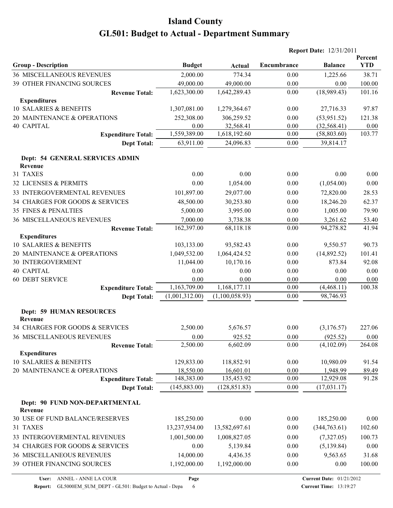| Encumbrance<br><b>Group - Description</b><br><b>Budget</b><br><b>Balance</b><br>Actual<br><b>36 MISCELLANEOUS REVENUES</b><br>2,000.00<br>774.34<br>0.00<br>1,225.66<br>49,000.00<br>49,000.00<br><b>39 OTHER FINANCING SOURCES</b><br>0.00<br>0.00 | Percent<br><b>YTD</b><br>38.71<br>100.00<br>101.16 |
|-----------------------------------------------------------------------------------------------------------------------------------------------------------------------------------------------------------------------------------------------------|----------------------------------------------------|
|                                                                                                                                                                                                                                                     |                                                    |
|                                                                                                                                                                                                                                                     |                                                    |
|                                                                                                                                                                                                                                                     |                                                    |
| (18,989.43)<br>1,623,300.00<br>1,642,289.43<br>0.00<br><b>Revenue Total:</b>                                                                                                                                                                        |                                                    |
| <b>Expenditures</b>                                                                                                                                                                                                                                 |                                                    |
| 10 SALARIES & BENEFITS<br>1,307,081.00<br>27,716.33<br>1,279,364.67<br>0.00                                                                                                                                                                         | 97.87                                              |
| 20 MAINTENANCE & OPERATIONS<br>252,308.00<br>306,259.52<br>0.00<br>(53,951.52)                                                                                                                                                                      | 121.38                                             |
| <b>40 CAPITAL</b><br>0.00<br>32,568.41<br>0.00<br>(32, 568.41)                                                                                                                                                                                      | 0.00                                               |
| 1,559,389.00<br>1,618,192.60<br>0.00<br>(58, 803.60)<br><b>Expenditure Total:</b>                                                                                                                                                                   | 103.77                                             |
| 63,911.00<br>$0.00\,$<br>39,814.17<br><b>Dept Total:</b><br>24,096.83                                                                                                                                                                               |                                                    |
| Dept: 54 GENERAL SERVICES ADMIN<br>Revenue                                                                                                                                                                                                          |                                                    |
| 31 TAXES<br>0.00<br>0.00<br>0.00<br>0.00                                                                                                                                                                                                            | 0.00                                               |
| 32 LICENSES & PERMITS<br>0.00<br>1,054.00<br>(1,054.00)<br>0.00                                                                                                                                                                                     | 0.00                                               |
| 101,897.00<br>33 INTERGOVERMENTAL REVENUES<br>29,077.00<br>72,820.00<br>0.00                                                                                                                                                                        | 28.53                                              |
| 34 CHARGES FOR GOODS & SERVICES<br>48,500.00<br>30,253.80<br>0.00<br>18,246.20                                                                                                                                                                      | 62.37                                              |
| 5,000.00<br>35 FINES & PENALTIES<br>3,995.00<br>0.00<br>1,005.00                                                                                                                                                                                    | 79.90                                              |
| 7,000.00<br>3,738.38<br>0.00<br>3,261.62<br><b>36 MISCELLANEOUS REVENUES</b>                                                                                                                                                                        | 53.40                                              |
| 162,397.00<br>68,118.18<br>0.00<br>94,278.82<br><b>Revenue Total:</b>                                                                                                                                                                               | 41.94                                              |
| <b>Expenditures</b>                                                                                                                                                                                                                                 |                                                    |
| 10 SALARIES & BENEFITS<br>103,133.00<br>93,582.43<br>9,550.57<br>0.00                                                                                                                                                                               | 90.73                                              |
| 20 MAINTENANCE & OPERATIONS<br>1,049,532.00<br>1,064,424.52<br>0.00<br>(14,892.52)                                                                                                                                                                  | 101.41                                             |
| 10,170.16<br>30 INTERGOVERMENT<br>11,044.00<br>873.84<br>0.00                                                                                                                                                                                       | 92.08                                              |
| <b>40 CAPITAL</b><br>0.00<br>0.00<br>0.00<br>0.00                                                                                                                                                                                                   | 0.00                                               |
| <b>60 DEBT SERVICE</b><br>0.00<br>0.00<br>0.00<br>0.00                                                                                                                                                                                              | 0.00                                               |
| 1,163,709.00<br>1,168,177.11<br>0.00<br>(4,468.11)<br><b>Expenditure Total:</b>                                                                                                                                                                     | 100.38                                             |
| 98,746.93<br>(1,001,312.00)<br>(1,100,058.93)<br>0.00<br><b>Dept Total:</b>                                                                                                                                                                         |                                                    |
| <b>Dept: 59 HUMAN RESOURCES</b><br>Revenue                                                                                                                                                                                                          |                                                    |
| 34 CHARGES FOR GOODS & SERVICES<br>2,500.00<br>0.00<br>5,676.57<br>(3,176.57)                                                                                                                                                                       | 227.06                                             |
| 36 MISCELLANEOUS REVENUES<br>0.00<br>925.52<br>$0.00\,$<br>(925.52)                                                                                                                                                                                 | $0.00\,$                                           |
| 2,500.00<br>$0.00\,$<br>6,602.09<br>(4,102.09)<br><b>Revenue Total:</b><br><b>Expenditures</b>                                                                                                                                                      | 264.08                                             |
| 10 SALARIES & BENEFITS<br>129,833.00<br>118,852.91<br>0.00<br>10,980.09                                                                                                                                                                             | 91.54                                              |
| 20 MAINTENANCE & OPERATIONS<br>18,550.00<br>16,601.01<br>0.00<br>1,948.99                                                                                                                                                                           | 89.49                                              |
| 148,383.00<br>135,453.92<br>0.00<br>12,929.08<br><b>Expenditure Total:</b>                                                                                                                                                                          | 91.28                                              |
| (145, 883.00)<br>(128, 851.83)<br>0.00<br>(17, 031.17)<br><b>Dept Total:</b>                                                                                                                                                                        |                                                    |
| Dept: 90 FUND NON-DEPARTMENTAL<br>Revenue                                                                                                                                                                                                           |                                                    |
| 30 USE OF FUND BALANCE/RESERVES<br>185,250.00<br>0.00<br>0.00<br>185,250.00                                                                                                                                                                         | 0.00                                               |
| (344,763.61)<br>31 TAXES<br>13,237,934.00<br>13,582,697.61<br>0.00                                                                                                                                                                                  | 102.60                                             |
| 33 INTERGOVERMENTAL REVENUES<br>1,001,500.00<br>1,008,827.05<br>0.00<br>(7,327.05)                                                                                                                                                                  | 100.73                                             |
| 34 CHARGES FOR GOODS & SERVICES<br>0.00<br>5,139.84<br>(5, 139.84)<br>0.00                                                                                                                                                                          | 0.00                                               |
| 36 MISCELLANEOUS REVENUES<br>14,000.00<br>4,436.35<br>9,563.65<br>0.00                                                                                                                                                                              | 31.68                                              |
| 39 OTHER FINANCING SOURCES<br>1,192,000.00<br>1,192,000.00<br>0.00<br>0.00                                                                                                                                                                          | 100.00                                             |

**Page**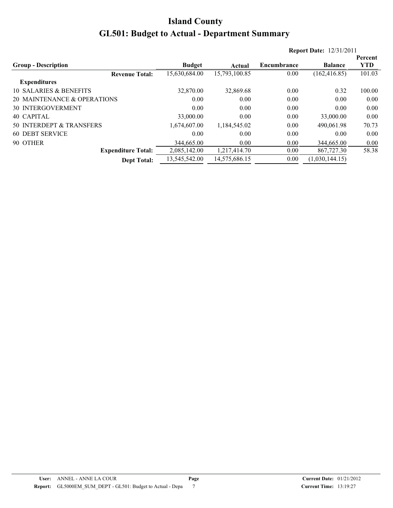|                             |               |               |                    | <b>Report Date: 12/31/2011</b> |            |
|-----------------------------|---------------|---------------|--------------------|--------------------------------|------------|
|                             |               |               |                    |                                | Percent    |
| <b>Group - Description</b>  | <b>Budget</b> | Actual        | <b>Encumbrance</b> | <b>Balance</b>                 | <b>YTD</b> |
| <b>Revenue Total:</b>       | 15,630,684.00 | 15,793,100.85 | 0.00               | (162, 416.85)                  | 101.03     |
| <b>Expenditures</b>         |               |               |                    |                                |            |
| 10 SALARIES & BENEFITS      | 32,870.00     | 32,869.68     | 0.00               | 0.32                           | 100.00     |
| 20 MAINTENANCE & OPERATIONS | 0.00          | 0.00          | 0.00               | 0.00                           | 0.00       |
| <b>30 INTERGOVERMENT</b>    | 0.00          | 0.00          | 0.00               | 0.00                           | 0.00       |
| 40 CAPITAL                  | 33,000.00     | 0.00          | 0.00               | 33,000.00                      | 0.00       |
| 50 INTERDEPT & TRANSFERS    | 1,674,607.00  | 1,184,545.02  | 0.00               | 490,061.98                     | 70.73      |
| <b>60 DEBT SERVICE</b>      | 0.00          | 0.00          | 0.00               | 0.00                           | 0.00       |
| 90 OTHER                    | 344,665.00    | 0.00          | 0.00               | 344,665.00                     | 0.00       |
| <b>Expenditure Total:</b>   | 2,085,142.00  | 1,217,414.70  | 0.00               | 867,727.30                     | 58.38      |
| <b>Dept Total:</b>          | 13,545,542.00 | 14,575,686.15 | 0.00               | (1,030,144.15)                 |            |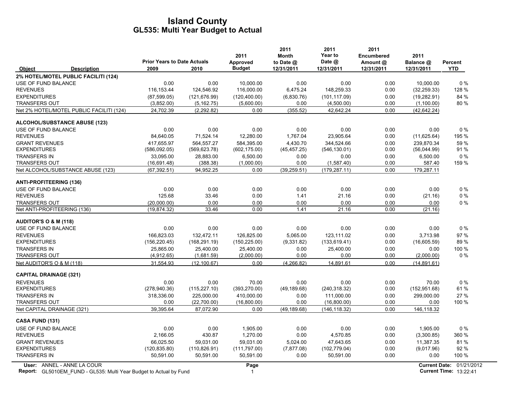|                                                                                                         | <b>Prior Years to Date Actuals</b> |               | 2011<br>Approved    | 2011<br><b>Month</b><br>to Date @ | 2011<br>Year to<br>Date @ | 2011<br><b>Encumbered</b><br>Amount @ | 2011<br>Balance @ | Percent                                                          |
|---------------------------------------------------------------------------------------------------------|------------------------------------|---------------|---------------------|-----------------------------------|---------------------------|---------------------------------------|-------------------|------------------------------------------------------------------|
| <b>Object</b><br><b>Description</b>                                                                     | 2009                               | 2010          | <b>Budget</b>       | 12/31/2011                        | 12/31/2011                | 12/31/2011                            | 12/31/2011        | <b>YTD</b>                                                       |
| 2% HOTEL/MOTEL PUBLIC FACILITI (124)                                                                    |                                    |               |                     |                                   |                           |                                       |                   |                                                                  |
| USE OF FUND BALANCE                                                                                     | 0.00                               | 0.00          | 10,000.00           | 0.00                              | 0.00                      | 0.00                                  | 10,000.00         | $0\%$                                                            |
| <b>REVENUES</b>                                                                                         | 116,153.44                         | 124,546.92    | 116,000.00          | 6,475.24                          | 148,259.33                | 0.00                                  | (32, 259.33)      | 128 %                                                            |
| <b>EXPENDITURES</b>                                                                                     | (87,599.05)                        | (121, 676.99) | (120, 400.00)       | (6,830.76)                        | (101, 117.09)             | 0.00                                  | (19, 282.91)      | 84 %                                                             |
| <b>TRANSFERS OUT</b>                                                                                    | (3,852.00)                         | (5, 162.75)   | (5,600.00)          | 0.00                              | (4,500.00)                | 0.00                                  | (1,100.00)        | 80%                                                              |
| Net 2% HOTEL/MOTEL PUBLIC FACILITI (124)                                                                | 24,702.39                          | (2, 292.82)   | 0.00                | (355.52)                          | 42,642.24                 | 0.00                                  | (42, 642.24)      |                                                                  |
| <b>ALCOHOL/SUBSTANCE ABUSE (123)</b>                                                                    |                                    |               |                     |                                   |                           |                                       |                   |                                                                  |
| USE OF FUND BALANCE                                                                                     | 0.00                               | 0.00          | 0.00                | 0.00                              | 0.00                      | 0.00                                  | 0.00              | 0%                                                               |
| <b>REVENUES</b>                                                                                         | 84,640.05                          | 71,524.14     | 12,280.00           | 1,767.04                          | 23,905.64                 | 0.00                                  | (11,625.64)       | 195 %                                                            |
| <b>GRANT REVENUES</b>                                                                                   | 417,655.97                         | 564,557.27    | 584,395.00          | 4,430.70                          | 344,524.66                | 0.00                                  | 239,870.34        | 59 %                                                             |
| <b>EXPENDITURES</b>                                                                                     | (586,092.05)                       | (569, 623.78) | (602, 175.00)       | (45, 457.25)                      | (546, 130.01)             | 0.00                                  | (56,044.99)       | 91%                                                              |
| <b>TRANSFERS IN</b>                                                                                     | 33,095.00                          | 28,883.00     | 6,500.00            | 0.00                              | 0.00                      | 0.00                                  | 6,500.00          | $0\%$                                                            |
| <b>TRANSFERS OUT</b>                                                                                    | (16,691.48)                        | (388.38)      | (1,000.00)          | 0.00                              | (1,587.40)                | 0.00                                  | 587.40            | 159 %                                                            |
| Net ALCOHOL/SUBSTANCE ABUSE (123)                                                                       | (67, 392.51)                       | 94,952.25     | 0.00                | (39, 259.51)                      | (179, 287, 11)            | 0.00                                  | 179,287.11        |                                                                  |
| <b>ANTI-PROFITEERING (136)</b>                                                                          |                                    |               |                     |                                   |                           |                                       |                   |                                                                  |
| <b>USE OF FUND BALANCE</b>                                                                              | 0.00                               | 0.00          | 0.00                | 0.00                              | 0.00                      | 0.00                                  | 0.00              | $0\%$                                                            |
| <b>REVENUES</b>                                                                                         | 125.68                             | 33.46         | 0.00                | 1.41                              | 21.16                     | 0.00                                  | (21.16)           | $0\%$                                                            |
| <b>TRANSFERS OUT</b>                                                                                    | (20,000.00)                        | 0.00          | 0.00                | 0.00                              | 0.00                      | 0.00                                  | 0.00              | $0\%$                                                            |
| Net ANTI-PROFITEERING (136)                                                                             | (19, 874.32)                       | 33.46         | 0.00                | 1.41                              | 21.16                     | 0.00                                  | (21.16)           |                                                                  |
| <b>AUDITOR'S O &amp; M (118)</b>                                                                        |                                    |               |                     |                                   |                           |                                       |                   |                                                                  |
| USE OF FUND BALANCE                                                                                     | 0.00                               | 0.00          | 0.00                | 0.00                              | 0.00                      | 0.00                                  | 0.00              | $0\%$                                                            |
| <b>REVENUES</b>                                                                                         | 166,823.03                         | 132,472.11    | 126,825.00          | 5,065.00                          | 123,111.02                | 0.00                                  | 3,713.98          | 97%                                                              |
| <b>EXPENDITURES</b>                                                                                     | (156, 220.45)                      | (168, 291.19) | (150, 225.00)       | (9,331.82)                        | (133, 619.41)             | 0.00                                  | (16,605.59)       | 89%                                                              |
| <b>TRANSFERS IN</b>                                                                                     | 25,865.00                          | 25,400.00     | 25,400.00           | 0.00                              | 25,400.00                 | 0.00                                  | 0.00              | 100 %                                                            |
| <b>TRANSFERS OUT</b>                                                                                    | (4,912.65)                         | (1,681.59)    | (2,000.00)          | 0.00                              | 0.00                      | 0.00                                  | (2,000.00)        | $0\%$                                                            |
| Net AUDITOR'S O & M (118)                                                                               | 31,554.93                          | (12, 100.67)  | 0.00                | (4, 266.82)                       | 14,891.61                 | 0.00                                  | (14, 891.61)      |                                                                  |
| <b>CAPITAL DRAINAGE (321)</b>                                                                           |                                    |               |                     |                                   |                           |                                       |                   |                                                                  |
| <b>REVENUES</b>                                                                                         | 0.00                               | 0.00          | 70.00               | 0.00                              | 0.00                      | 0.00                                  | 70.00             | $0\%$                                                            |
| <b>EXPENDITURES</b>                                                                                     | (278, 940.36)                      | (115, 227.10) | (393, 270.00)       | (49, 189.68)                      | (240, 318.32)             | 0.00                                  | (152, 951.68)     | 61%                                                              |
| <b>TRANSFERS IN</b>                                                                                     | 318,336.00                         | 225,000.00    | 410,000.00          | 0.00                              | 111,000.00                | 0.00                                  | 299,000.00        | 27 %                                                             |
| <b>TRANSFERS OUT</b>                                                                                    | 0.00                               | (22,700.00)   | (16,800.00)         | 0.00                              | (16,800.00)               | 0.00                                  | 0.00              | 100 %                                                            |
| Net CAPITAL DRAINAGE (321)                                                                              | 39,395.64                          | 87,072.90     | 0.00                | (49, 189.68)                      | (146, 118.32)             | 0.00                                  | 146,118.32        |                                                                  |
| CASA FUND (131)                                                                                         |                                    |               |                     |                                   |                           |                                       |                   |                                                                  |
| <b>USE OF FUND BALANCE</b>                                                                              | 0.00                               | 0.00          | 1,905.00            | 0.00                              | 0.00                      | 0.00                                  | 1,905.00          | 0%                                                               |
| <b>REVENUES</b>                                                                                         | 2,166.05                           | 430.87        | 1,270.00            | 0.00                              | 4,570.85                  | 0.00                                  | (3,300.85)        | 360 %                                                            |
| <b>GRANT REVENUES</b>                                                                                   | 66,025.50                          | 59,031.00     | 59,031.00           | 5,024.00                          | 47,643.65                 | 0.00                                  | 11,387.35         | 81%                                                              |
| <b>EXPENDITURES</b>                                                                                     | (120, 835.80)                      | (110, 826.91) | (111,797.00)        | (7, 877.08)                       | (102, 779.04)             | 0.00                                  | (9,017.96)        | 92 %                                                             |
| <b>TRANSFERS IN</b>                                                                                     | 50,591.00                          | 50,591.00     | 50,591.00           | 0.00                              | 50,591.00                 | 0.00                                  | 0.00              | 100 %                                                            |
| User: ANNEL - ANNE LA COUR<br><b>Report:</b> GL5010EM FUND - GL535: Multi Year Budget to Actual by Fund |                                    |               | Page<br>$\mathbf 1$ |                                   |                           |                                       |                   | <b>Current Date: 01/21/2012</b><br><b>Current Time: 13:22:41</b> |

**Report:** 1 **Current Time:** GL5010EM\_FUND - GL535: Multi Year Budget to Actual by Fund 13:22:41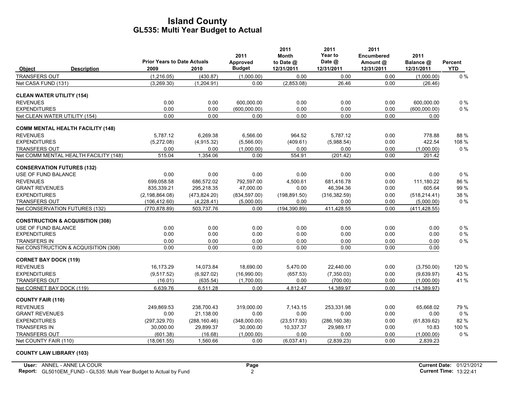| <b>Prior Years to Date Actuals</b><br><b>Budget</b><br>2009<br>12/31/2011<br>12/31/2011<br>12/31/2011<br><b>YTD</b><br><b>Description</b><br>2010<br>12/31/2011<br><b>Object</b><br>(1,216.05)<br>$0\%$<br><b>TRANSFERS OUT</b><br>(430.87)<br>(1,000.00)<br>0.00<br>0.00<br>0.00<br>(1,000.00)<br>Net CASA FUND (131)<br>(3,269.30)<br>(1,204.91)<br>0.00<br>(2,853.08)<br>26.46<br>0.00<br>(26.46)<br><b>CLEAN WATER UTILITY (154)</b><br><b>REVENUES</b><br>0.00<br>600.000.00<br>0.00<br>0.00<br>0.00<br>600.000.00<br>$0\%$<br>0.00<br>$0\%$<br><b>EXPENDITURES</b><br>0.00<br>0.00<br>(600,000.00)<br>0.00<br>0.00<br>0.00<br>(600,000.00)<br>Net CLEAN WATER UTILITY (154)<br>0.00<br>0.00<br>0.00<br>0.00<br>0.00<br>0.00<br>0.00<br><b>COMM MENTAL HEALTH FACILITY (148)</b><br>5,787.12<br>6,566.00<br>964.52<br>5,787.12<br>88 %<br><b>REVENUES</b><br>6,269.38<br>0.00<br>778.88<br><b>EXPENDITURES</b><br>0.00<br>422.54<br>(5,272.08)<br>(4,915.32)<br>(5,566.00)<br>(409.61)<br>(5,988.54)<br>108 %<br>$0\%$<br>0.00<br>(1,000.00)<br>0.00<br>0.00<br>0.00<br><b>TRANSFERS OUT</b><br>0.00<br>(1,000.00)<br>Net COMM MENTAL HEALTH FACILITY (148)<br>1,354.06<br>554.91<br>0.00<br>515.04<br>0.00<br>(201.42)<br>201.42<br><b>CONSERVATION FUTURES (132)</b><br>0.00<br>$0\%$<br>USE OF FUND BALANCE<br>0.00<br>0.00<br>0.00<br>0.00<br>0.00<br>0.00<br><b>REVENUES</b><br>699,058.58<br>686,572.02<br>792,597.00<br>681,416.78<br>0.00<br>111,180.22<br>86 %<br>4,500.61<br>835,339.21<br>605.64<br>99%<br><b>GRANT REVENUES</b><br>295,218.35<br>47,000.00<br>0.00<br>46,394.36<br>0.00<br><b>EXPENDITURES</b><br>(2, 198, 864.08)<br>(473, 824.20)<br>(834, 597.00)<br>(198, 891.50)<br>(316, 382.59)<br>0.00<br>(518, 214.41)<br>38 %<br><b>TRANSFERS OUT</b><br>(106, 412.60)<br>(4,228.41)<br>(5,000.00)<br>0.00<br>0.00<br>0.00<br>(5,000.00)<br>$0\%$<br>503,737.76<br>(194, 390.89)<br>411,428.55<br>0.00<br>Net CONSERVATION FUTURES (132)<br>(770, 878.89)<br>0.00<br>(411, 428.55)<br><b>CONSTRUCTION &amp; ACQUISITION (308)</b><br>0.00<br>0.00<br>0.00<br>0.00<br>0.00<br>0.00<br>$0\%$<br>USE OF FUND BALANCE<br>0.00<br>0.00<br>0.00<br>0.00<br>$0\%$<br><b>EXPENDITURES</b><br>0.00<br>0.00<br>0.00<br>0.00<br>TRANSFERS IN<br>0.00<br>$0\%$<br>0.00<br>0.00<br>0.00<br>0.00<br>0.00<br>0.00<br>Net CONSTRUCTION & ACQUISITION (308)<br>0.00<br>0.00<br>0.00<br>0.00<br>0.00<br>0.00<br>0.00<br><b>CORNET BAY DOCK (119)</b><br><b>REVENUES</b><br>16,173.29<br>14,073.84<br>5,470.00<br>0.00<br>120 %<br>18,690.00<br>22,440.00<br>(3,750.00)<br>43 %<br><b>EXPENDITURES</b><br>(9,517.52)<br>(6,927.02)<br>(16,990.00)<br>(657.53)<br>(7,350.03)<br>0.00<br>(9,639.97)<br><b>TRANSFERS OUT</b><br>(16.01)<br>(635.54)<br>(1,700.00)<br>0.00<br>(700.00)<br>0.00<br>41 %<br>(1,000.00)<br>0.00<br>Net CORNET BAY DOCK (119)<br>6.639.76<br>6.511.28<br>0.00<br>4.812.47<br>14.389.97<br>(14, 389.97)<br><b>COUNTY FAIR (110)</b><br><b>REVENUES</b><br>249,869.53<br>238,700.43<br>319,000.00<br>7,143.15<br>253.331.98<br>0.00<br>65.668.02<br>79 %<br>0.00<br><b>GRANT REVENUES</b><br>0.00<br>21,138.00<br>0.00<br>0.00<br>0.00<br>0.00<br>$0\%$<br>82%<br><b>EXPENDITURES</b><br>(297, 329.70)<br>(288, 160.46)<br>(348,000.00)<br>(23, 517.93)<br>(286, 160.38)<br>0.00<br>(61, 839.62)<br><b>TRANSFERS IN</b><br>30,000.00<br>29,899.37<br>10,337.37<br>100 %<br>30,000.00<br>29,989.17<br>0.00<br>10.83<br>0%<br><b>TRANSFERS OUT</b><br>(16.68)<br>(1,000.00)<br>0.00<br>(601.38)<br>0.00<br>0.00<br>(1,000.00) |  |  | 2011     | 2011<br><b>Month</b> | 2011<br><b>Year to</b> | 2011<br><b>Encumbered</b> | 2011      |         |
|-----------------------------------------------------------------------------------------------------------------------------------------------------------------------------------------------------------------------------------------------------------------------------------------------------------------------------------------------------------------------------------------------------------------------------------------------------------------------------------------------------------------------------------------------------------------------------------------------------------------------------------------------------------------------------------------------------------------------------------------------------------------------------------------------------------------------------------------------------------------------------------------------------------------------------------------------------------------------------------------------------------------------------------------------------------------------------------------------------------------------------------------------------------------------------------------------------------------------------------------------------------------------------------------------------------------------------------------------------------------------------------------------------------------------------------------------------------------------------------------------------------------------------------------------------------------------------------------------------------------------------------------------------------------------------------------------------------------------------------------------------------------------------------------------------------------------------------------------------------------------------------------------------------------------------------------------------------------------------------------------------------------------------------------------------------------------------------------------------------------------------------------------------------------------------------------------------------------------------------------------------------------------------------------------------------------------------------------------------------------------------------------------------------------------------------------------------------------------------------------------------------------------------------------------------------------------------------------------------------------------------------------------------------------------------------------------------------------------------------------------------------------------------------------------------------------------------------------------------------------------------------------------------------------------------------------------------------------------------------------------------------------------------------------------------------------------------------------------------------------------------------------------------------------------------------------------------------------------------------------------------------------------------------------------------------------------------------------------------------------------------------------------------------------------------------------------------------------------------------------------------------------------------------------------------------|--|--|----------|----------------------|------------------------|---------------------------|-----------|---------|
|                                                                                                                                                                                                                                                                                                                                                                                                                                                                                                                                                                                                                                                                                                                                                                                                                                                                                                                                                                                                                                                                                                                                                                                                                                                                                                                                                                                                                                                                                                                                                                                                                                                                                                                                                                                                                                                                                                                                                                                                                                                                                                                                                                                                                                                                                                                                                                                                                                                                                                                                                                                                                                                                                                                                                                                                                                                                                                                                                                                                                                                                                                                                                                                                                                                                                                                                                                                                                                                                                                                                                           |  |  | Approved | to Date @            | Date @                 | Amount @                  | Balance @ | Percent |
|                                                                                                                                                                                                                                                                                                                                                                                                                                                                                                                                                                                                                                                                                                                                                                                                                                                                                                                                                                                                                                                                                                                                                                                                                                                                                                                                                                                                                                                                                                                                                                                                                                                                                                                                                                                                                                                                                                                                                                                                                                                                                                                                                                                                                                                                                                                                                                                                                                                                                                                                                                                                                                                                                                                                                                                                                                                                                                                                                                                                                                                                                                                                                                                                                                                                                                                                                                                                                                                                                                                                                           |  |  |          |                      |                        |                           |           |         |
|                                                                                                                                                                                                                                                                                                                                                                                                                                                                                                                                                                                                                                                                                                                                                                                                                                                                                                                                                                                                                                                                                                                                                                                                                                                                                                                                                                                                                                                                                                                                                                                                                                                                                                                                                                                                                                                                                                                                                                                                                                                                                                                                                                                                                                                                                                                                                                                                                                                                                                                                                                                                                                                                                                                                                                                                                                                                                                                                                                                                                                                                                                                                                                                                                                                                                                                                                                                                                                                                                                                                                           |  |  |          |                      |                        |                           |           |         |
|                                                                                                                                                                                                                                                                                                                                                                                                                                                                                                                                                                                                                                                                                                                                                                                                                                                                                                                                                                                                                                                                                                                                                                                                                                                                                                                                                                                                                                                                                                                                                                                                                                                                                                                                                                                                                                                                                                                                                                                                                                                                                                                                                                                                                                                                                                                                                                                                                                                                                                                                                                                                                                                                                                                                                                                                                                                                                                                                                                                                                                                                                                                                                                                                                                                                                                                                                                                                                                                                                                                                                           |  |  |          |                      |                        |                           |           |         |
|                                                                                                                                                                                                                                                                                                                                                                                                                                                                                                                                                                                                                                                                                                                                                                                                                                                                                                                                                                                                                                                                                                                                                                                                                                                                                                                                                                                                                                                                                                                                                                                                                                                                                                                                                                                                                                                                                                                                                                                                                                                                                                                                                                                                                                                                                                                                                                                                                                                                                                                                                                                                                                                                                                                                                                                                                                                                                                                                                                                                                                                                                                                                                                                                                                                                                                                                                                                                                                                                                                                                                           |  |  |          |                      |                        |                           |           |         |
|                                                                                                                                                                                                                                                                                                                                                                                                                                                                                                                                                                                                                                                                                                                                                                                                                                                                                                                                                                                                                                                                                                                                                                                                                                                                                                                                                                                                                                                                                                                                                                                                                                                                                                                                                                                                                                                                                                                                                                                                                                                                                                                                                                                                                                                                                                                                                                                                                                                                                                                                                                                                                                                                                                                                                                                                                                                                                                                                                                                                                                                                                                                                                                                                                                                                                                                                                                                                                                                                                                                                                           |  |  |          |                      |                        |                           |           |         |
|                                                                                                                                                                                                                                                                                                                                                                                                                                                                                                                                                                                                                                                                                                                                                                                                                                                                                                                                                                                                                                                                                                                                                                                                                                                                                                                                                                                                                                                                                                                                                                                                                                                                                                                                                                                                                                                                                                                                                                                                                                                                                                                                                                                                                                                                                                                                                                                                                                                                                                                                                                                                                                                                                                                                                                                                                                                                                                                                                                                                                                                                                                                                                                                                                                                                                                                                                                                                                                                                                                                                                           |  |  |          |                      |                        |                           |           |         |
|                                                                                                                                                                                                                                                                                                                                                                                                                                                                                                                                                                                                                                                                                                                                                                                                                                                                                                                                                                                                                                                                                                                                                                                                                                                                                                                                                                                                                                                                                                                                                                                                                                                                                                                                                                                                                                                                                                                                                                                                                                                                                                                                                                                                                                                                                                                                                                                                                                                                                                                                                                                                                                                                                                                                                                                                                                                                                                                                                                                                                                                                                                                                                                                                                                                                                                                                                                                                                                                                                                                                                           |  |  |          |                      |                        |                           |           |         |
|                                                                                                                                                                                                                                                                                                                                                                                                                                                                                                                                                                                                                                                                                                                                                                                                                                                                                                                                                                                                                                                                                                                                                                                                                                                                                                                                                                                                                                                                                                                                                                                                                                                                                                                                                                                                                                                                                                                                                                                                                                                                                                                                                                                                                                                                                                                                                                                                                                                                                                                                                                                                                                                                                                                                                                                                                                                                                                                                                                                                                                                                                                                                                                                                                                                                                                                                                                                                                                                                                                                                                           |  |  |          |                      |                        |                           |           |         |
|                                                                                                                                                                                                                                                                                                                                                                                                                                                                                                                                                                                                                                                                                                                                                                                                                                                                                                                                                                                                                                                                                                                                                                                                                                                                                                                                                                                                                                                                                                                                                                                                                                                                                                                                                                                                                                                                                                                                                                                                                                                                                                                                                                                                                                                                                                                                                                                                                                                                                                                                                                                                                                                                                                                                                                                                                                                                                                                                                                                                                                                                                                                                                                                                                                                                                                                                                                                                                                                                                                                                                           |  |  |          |                      |                        |                           |           |         |
|                                                                                                                                                                                                                                                                                                                                                                                                                                                                                                                                                                                                                                                                                                                                                                                                                                                                                                                                                                                                                                                                                                                                                                                                                                                                                                                                                                                                                                                                                                                                                                                                                                                                                                                                                                                                                                                                                                                                                                                                                                                                                                                                                                                                                                                                                                                                                                                                                                                                                                                                                                                                                                                                                                                                                                                                                                                                                                                                                                                                                                                                                                                                                                                                                                                                                                                                                                                                                                                                                                                                                           |  |  |          |                      |                        |                           |           |         |
|                                                                                                                                                                                                                                                                                                                                                                                                                                                                                                                                                                                                                                                                                                                                                                                                                                                                                                                                                                                                                                                                                                                                                                                                                                                                                                                                                                                                                                                                                                                                                                                                                                                                                                                                                                                                                                                                                                                                                                                                                                                                                                                                                                                                                                                                                                                                                                                                                                                                                                                                                                                                                                                                                                                                                                                                                                                                                                                                                                                                                                                                                                                                                                                                                                                                                                                                                                                                                                                                                                                                                           |  |  |          |                      |                        |                           |           |         |
|                                                                                                                                                                                                                                                                                                                                                                                                                                                                                                                                                                                                                                                                                                                                                                                                                                                                                                                                                                                                                                                                                                                                                                                                                                                                                                                                                                                                                                                                                                                                                                                                                                                                                                                                                                                                                                                                                                                                                                                                                                                                                                                                                                                                                                                                                                                                                                                                                                                                                                                                                                                                                                                                                                                                                                                                                                                                                                                                                                                                                                                                                                                                                                                                                                                                                                                                                                                                                                                                                                                                                           |  |  |          |                      |                        |                           |           |         |
|                                                                                                                                                                                                                                                                                                                                                                                                                                                                                                                                                                                                                                                                                                                                                                                                                                                                                                                                                                                                                                                                                                                                                                                                                                                                                                                                                                                                                                                                                                                                                                                                                                                                                                                                                                                                                                                                                                                                                                                                                                                                                                                                                                                                                                                                                                                                                                                                                                                                                                                                                                                                                                                                                                                                                                                                                                                                                                                                                                                                                                                                                                                                                                                                                                                                                                                                                                                                                                                                                                                                                           |  |  |          |                      |                        |                           |           |         |
|                                                                                                                                                                                                                                                                                                                                                                                                                                                                                                                                                                                                                                                                                                                                                                                                                                                                                                                                                                                                                                                                                                                                                                                                                                                                                                                                                                                                                                                                                                                                                                                                                                                                                                                                                                                                                                                                                                                                                                                                                                                                                                                                                                                                                                                                                                                                                                                                                                                                                                                                                                                                                                                                                                                                                                                                                                                                                                                                                                                                                                                                                                                                                                                                                                                                                                                                                                                                                                                                                                                                                           |  |  |          |                      |                        |                           |           |         |
|                                                                                                                                                                                                                                                                                                                                                                                                                                                                                                                                                                                                                                                                                                                                                                                                                                                                                                                                                                                                                                                                                                                                                                                                                                                                                                                                                                                                                                                                                                                                                                                                                                                                                                                                                                                                                                                                                                                                                                                                                                                                                                                                                                                                                                                                                                                                                                                                                                                                                                                                                                                                                                                                                                                                                                                                                                                                                                                                                                                                                                                                                                                                                                                                                                                                                                                                                                                                                                                                                                                                                           |  |  |          |                      |                        |                           |           |         |
|                                                                                                                                                                                                                                                                                                                                                                                                                                                                                                                                                                                                                                                                                                                                                                                                                                                                                                                                                                                                                                                                                                                                                                                                                                                                                                                                                                                                                                                                                                                                                                                                                                                                                                                                                                                                                                                                                                                                                                                                                                                                                                                                                                                                                                                                                                                                                                                                                                                                                                                                                                                                                                                                                                                                                                                                                                                                                                                                                                                                                                                                                                                                                                                                                                                                                                                                                                                                                                                                                                                                                           |  |  |          |                      |                        |                           |           |         |
|                                                                                                                                                                                                                                                                                                                                                                                                                                                                                                                                                                                                                                                                                                                                                                                                                                                                                                                                                                                                                                                                                                                                                                                                                                                                                                                                                                                                                                                                                                                                                                                                                                                                                                                                                                                                                                                                                                                                                                                                                                                                                                                                                                                                                                                                                                                                                                                                                                                                                                                                                                                                                                                                                                                                                                                                                                                                                                                                                                                                                                                                                                                                                                                                                                                                                                                                                                                                                                                                                                                                                           |  |  |          |                      |                        |                           |           |         |
|                                                                                                                                                                                                                                                                                                                                                                                                                                                                                                                                                                                                                                                                                                                                                                                                                                                                                                                                                                                                                                                                                                                                                                                                                                                                                                                                                                                                                                                                                                                                                                                                                                                                                                                                                                                                                                                                                                                                                                                                                                                                                                                                                                                                                                                                                                                                                                                                                                                                                                                                                                                                                                                                                                                                                                                                                                                                                                                                                                                                                                                                                                                                                                                                                                                                                                                                                                                                                                                                                                                                                           |  |  |          |                      |                        |                           |           |         |
|                                                                                                                                                                                                                                                                                                                                                                                                                                                                                                                                                                                                                                                                                                                                                                                                                                                                                                                                                                                                                                                                                                                                                                                                                                                                                                                                                                                                                                                                                                                                                                                                                                                                                                                                                                                                                                                                                                                                                                                                                                                                                                                                                                                                                                                                                                                                                                                                                                                                                                                                                                                                                                                                                                                                                                                                                                                                                                                                                                                                                                                                                                                                                                                                                                                                                                                                                                                                                                                                                                                                                           |  |  |          |                      |                        |                           |           |         |
|                                                                                                                                                                                                                                                                                                                                                                                                                                                                                                                                                                                                                                                                                                                                                                                                                                                                                                                                                                                                                                                                                                                                                                                                                                                                                                                                                                                                                                                                                                                                                                                                                                                                                                                                                                                                                                                                                                                                                                                                                                                                                                                                                                                                                                                                                                                                                                                                                                                                                                                                                                                                                                                                                                                                                                                                                                                                                                                                                                                                                                                                                                                                                                                                                                                                                                                                                                                                                                                                                                                                                           |  |  |          |                      |                        |                           |           |         |
|                                                                                                                                                                                                                                                                                                                                                                                                                                                                                                                                                                                                                                                                                                                                                                                                                                                                                                                                                                                                                                                                                                                                                                                                                                                                                                                                                                                                                                                                                                                                                                                                                                                                                                                                                                                                                                                                                                                                                                                                                                                                                                                                                                                                                                                                                                                                                                                                                                                                                                                                                                                                                                                                                                                                                                                                                                                                                                                                                                                                                                                                                                                                                                                                                                                                                                                                                                                                                                                                                                                                                           |  |  |          |                      |                        |                           |           |         |
|                                                                                                                                                                                                                                                                                                                                                                                                                                                                                                                                                                                                                                                                                                                                                                                                                                                                                                                                                                                                                                                                                                                                                                                                                                                                                                                                                                                                                                                                                                                                                                                                                                                                                                                                                                                                                                                                                                                                                                                                                                                                                                                                                                                                                                                                                                                                                                                                                                                                                                                                                                                                                                                                                                                                                                                                                                                                                                                                                                                                                                                                                                                                                                                                                                                                                                                                                                                                                                                                                                                                                           |  |  |          |                      |                        |                           |           |         |
|                                                                                                                                                                                                                                                                                                                                                                                                                                                                                                                                                                                                                                                                                                                                                                                                                                                                                                                                                                                                                                                                                                                                                                                                                                                                                                                                                                                                                                                                                                                                                                                                                                                                                                                                                                                                                                                                                                                                                                                                                                                                                                                                                                                                                                                                                                                                                                                                                                                                                                                                                                                                                                                                                                                                                                                                                                                                                                                                                                                                                                                                                                                                                                                                                                                                                                                                                                                                                                                                                                                                                           |  |  |          |                      |                        |                           |           |         |
|                                                                                                                                                                                                                                                                                                                                                                                                                                                                                                                                                                                                                                                                                                                                                                                                                                                                                                                                                                                                                                                                                                                                                                                                                                                                                                                                                                                                                                                                                                                                                                                                                                                                                                                                                                                                                                                                                                                                                                                                                                                                                                                                                                                                                                                                                                                                                                                                                                                                                                                                                                                                                                                                                                                                                                                                                                                                                                                                                                                                                                                                                                                                                                                                                                                                                                                                                                                                                                                                                                                                                           |  |  |          |                      |                        |                           |           |         |
|                                                                                                                                                                                                                                                                                                                                                                                                                                                                                                                                                                                                                                                                                                                                                                                                                                                                                                                                                                                                                                                                                                                                                                                                                                                                                                                                                                                                                                                                                                                                                                                                                                                                                                                                                                                                                                                                                                                                                                                                                                                                                                                                                                                                                                                                                                                                                                                                                                                                                                                                                                                                                                                                                                                                                                                                                                                                                                                                                                                                                                                                                                                                                                                                                                                                                                                                                                                                                                                                                                                                                           |  |  |          |                      |                        |                           |           |         |
|                                                                                                                                                                                                                                                                                                                                                                                                                                                                                                                                                                                                                                                                                                                                                                                                                                                                                                                                                                                                                                                                                                                                                                                                                                                                                                                                                                                                                                                                                                                                                                                                                                                                                                                                                                                                                                                                                                                                                                                                                                                                                                                                                                                                                                                                                                                                                                                                                                                                                                                                                                                                                                                                                                                                                                                                                                                                                                                                                                                                                                                                                                                                                                                                                                                                                                                                                                                                                                                                                                                                                           |  |  |          |                      |                        |                           |           |         |
|                                                                                                                                                                                                                                                                                                                                                                                                                                                                                                                                                                                                                                                                                                                                                                                                                                                                                                                                                                                                                                                                                                                                                                                                                                                                                                                                                                                                                                                                                                                                                                                                                                                                                                                                                                                                                                                                                                                                                                                                                                                                                                                                                                                                                                                                                                                                                                                                                                                                                                                                                                                                                                                                                                                                                                                                                                                                                                                                                                                                                                                                                                                                                                                                                                                                                                                                                                                                                                                                                                                                                           |  |  |          |                      |                        |                           |           |         |
|                                                                                                                                                                                                                                                                                                                                                                                                                                                                                                                                                                                                                                                                                                                                                                                                                                                                                                                                                                                                                                                                                                                                                                                                                                                                                                                                                                                                                                                                                                                                                                                                                                                                                                                                                                                                                                                                                                                                                                                                                                                                                                                                                                                                                                                                                                                                                                                                                                                                                                                                                                                                                                                                                                                                                                                                                                                                                                                                                                                                                                                                                                                                                                                                                                                                                                                                                                                                                                                                                                                                                           |  |  |          |                      |                        |                           |           |         |
|                                                                                                                                                                                                                                                                                                                                                                                                                                                                                                                                                                                                                                                                                                                                                                                                                                                                                                                                                                                                                                                                                                                                                                                                                                                                                                                                                                                                                                                                                                                                                                                                                                                                                                                                                                                                                                                                                                                                                                                                                                                                                                                                                                                                                                                                                                                                                                                                                                                                                                                                                                                                                                                                                                                                                                                                                                                                                                                                                                                                                                                                                                                                                                                                                                                                                                                                                                                                                                                                                                                                                           |  |  |          |                      |                        |                           |           |         |
|                                                                                                                                                                                                                                                                                                                                                                                                                                                                                                                                                                                                                                                                                                                                                                                                                                                                                                                                                                                                                                                                                                                                                                                                                                                                                                                                                                                                                                                                                                                                                                                                                                                                                                                                                                                                                                                                                                                                                                                                                                                                                                                                                                                                                                                                                                                                                                                                                                                                                                                                                                                                                                                                                                                                                                                                                                                                                                                                                                                                                                                                                                                                                                                                                                                                                                                                                                                                                                                                                                                                                           |  |  |          |                      |                        |                           |           |         |
|                                                                                                                                                                                                                                                                                                                                                                                                                                                                                                                                                                                                                                                                                                                                                                                                                                                                                                                                                                                                                                                                                                                                                                                                                                                                                                                                                                                                                                                                                                                                                                                                                                                                                                                                                                                                                                                                                                                                                                                                                                                                                                                                                                                                                                                                                                                                                                                                                                                                                                                                                                                                                                                                                                                                                                                                                                                                                                                                                                                                                                                                                                                                                                                                                                                                                                                                                                                                                                                                                                                                                           |  |  |          |                      |                        |                           |           |         |
|                                                                                                                                                                                                                                                                                                                                                                                                                                                                                                                                                                                                                                                                                                                                                                                                                                                                                                                                                                                                                                                                                                                                                                                                                                                                                                                                                                                                                                                                                                                                                                                                                                                                                                                                                                                                                                                                                                                                                                                                                                                                                                                                                                                                                                                                                                                                                                                                                                                                                                                                                                                                                                                                                                                                                                                                                                                                                                                                                                                                                                                                                                                                                                                                                                                                                                                                                                                                                                                                                                                                                           |  |  |          |                      |                        |                           |           |         |
|                                                                                                                                                                                                                                                                                                                                                                                                                                                                                                                                                                                                                                                                                                                                                                                                                                                                                                                                                                                                                                                                                                                                                                                                                                                                                                                                                                                                                                                                                                                                                                                                                                                                                                                                                                                                                                                                                                                                                                                                                                                                                                                                                                                                                                                                                                                                                                                                                                                                                                                                                                                                                                                                                                                                                                                                                                                                                                                                                                                                                                                                                                                                                                                                                                                                                                                                                                                                                                                                                                                                                           |  |  |          |                      |                        |                           |           |         |
|                                                                                                                                                                                                                                                                                                                                                                                                                                                                                                                                                                                                                                                                                                                                                                                                                                                                                                                                                                                                                                                                                                                                                                                                                                                                                                                                                                                                                                                                                                                                                                                                                                                                                                                                                                                                                                                                                                                                                                                                                                                                                                                                                                                                                                                                                                                                                                                                                                                                                                                                                                                                                                                                                                                                                                                                                                                                                                                                                                                                                                                                                                                                                                                                                                                                                                                                                                                                                                                                                                                                                           |  |  |          |                      |                        |                           |           |         |
|                                                                                                                                                                                                                                                                                                                                                                                                                                                                                                                                                                                                                                                                                                                                                                                                                                                                                                                                                                                                                                                                                                                                                                                                                                                                                                                                                                                                                                                                                                                                                                                                                                                                                                                                                                                                                                                                                                                                                                                                                                                                                                                                                                                                                                                                                                                                                                                                                                                                                                                                                                                                                                                                                                                                                                                                                                                                                                                                                                                                                                                                                                                                                                                                                                                                                                                                                                                                                                                                                                                                                           |  |  |          |                      |                        |                           |           |         |
| (6,037.41)<br>(2,839.23)<br>Net COUNTY FAIR (110)<br>(18,061.55)<br>1,560.66<br>0.00<br>0.00<br>2,839.23                                                                                                                                                                                                                                                                                                                                                                                                                                                                                                                                                                                                                                                                                                                                                                                                                                                                                                                                                                                                                                                                                                                                                                                                                                                                                                                                                                                                                                                                                                                                                                                                                                                                                                                                                                                                                                                                                                                                                                                                                                                                                                                                                                                                                                                                                                                                                                                                                                                                                                                                                                                                                                                                                                                                                                                                                                                                                                                                                                                                                                                                                                                                                                                                                                                                                                                                                                                                                                                  |  |  |          |                      |                        |                           |           |         |

**COUNTY LAW LIBRARY (103)**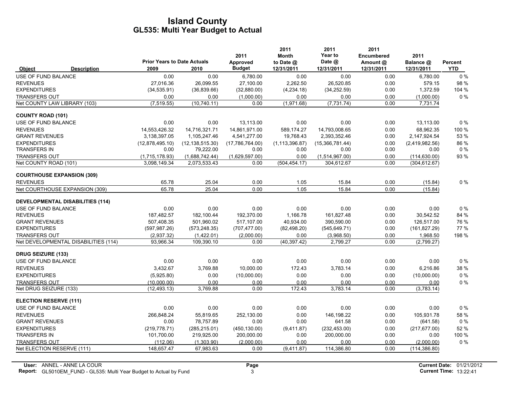|                               |                                         | <b>Prior Years to Date Actuals</b> |                   | 2011                      | 2011<br><b>Month</b>      | 2011<br>Year to<br>Date @ | 2011<br><b>Encumbered</b> | 2011                    |                       |
|-------------------------------|-----------------------------------------|------------------------------------|-------------------|---------------------------|---------------------------|---------------------------|---------------------------|-------------------------|-----------------------|
| <b>Object</b>                 | <b>Description</b>                      | 2009                               | 2010              | Approved<br><b>Budget</b> | to Date $@$<br>12/31/2011 | 12/31/2011                | Amount @<br>12/31/2011    | Balance @<br>12/31/2011 | Percent<br><b>YTD</b> |
| USE OF FUND BALANCE           |                                         | 0.00                               | 0.00              | 6,780.00                  | 0.00                      | 0.00                      | 0.00                      | 6,780.00                | $0\%$                 |
| <b>REVENUES</b>               |                                         | 27,016.36                          | 26,099.55         | 27,100.00                 | 2,262.50                  | 26,520.85                 | 0.00                      | 579.15                  | 98 %                  |
| <b>EXPENDITURES</b>           |                                         | (34, 535.91)                       | (36, 839.66)      | (32,880.00)               | (4,234.18)                | (34, 252.59)              | 0.00                      | 1,372.59                | 104 %                 |
| <b>TRANSFERS OUT</b>          |                                         | 0.00                               | 0.00              | (1,000.00)                | 0.00                      | 0.00                      | 0.00                      | (1,000.00)              | 0%                    |
|                               | Net COUNTY LAW LIBRARY (103)            | (7, 519.55)                        | (10, 740.11)      | 0.00                      | (1,971.68)                | (7, 731.74)               | 0.00                      | 7,731.74                |                       |
| <b>COUNTY ROAD (101)</b>      |                                         |                                    |                   |                           |                           |                           |                           |                         |                       |
| USE OF FUND BALANCE           |                                         | 0.00                               | 0.00              | 13,113.00                 | 0.00                      | 0.00                      | 0.00                      | 13,113.00               | $0\%$                 |
| <b>REVENUES</b>               |                                         | 14,553,426.32                      | 14,716,321.71     | 14,861,971.00             | 589,174.27                | 14,793,008.65             | 0.00                      | 68,962.35               | 100 %                 |
| <b>GRANT REVENUES</b>         |                                         | 3,138,397.05                       | 1,105,247.46      | 4,541,277.00              | 19,768.43                 | 2,393,352.46              | 0.00                      | 2,147,924.54            | 53 %                  |
| <b>EXPENDITURES</b>           |                                         | (12,878,495.10)                    | (12, 138, 515.30) | (17,786,764.00)           | (1, 113, 396.87)          | (15,366,781.44)           | 0.00                      | (2,419,982.56)          | 86 %                  |
| <b>TRANSFERS IN</b>           |                                         | 0.00                               | 79,222.00         | 0.00                      | 0.00                      | 0.00                      | 0.00                      | 0.00                    | $0\%$                 |
| <b>TRANSFERS OUT</b>          |                                         | (1,715,178.93)                     | (1,688,742.44)    | (1,629,597.00)            | 0.00                      | (1,514,967.00)            | 0.00                      | (114, 630.00)           | 93%                   |
| Net COUNTY ROAD (101)         |                                         | 3,098,149.34                       | 2,073,533.43      | 0.00                      | (504, 454.17)             | 304,612.67                | 0.00                      | (304, 612.67)           |                       |
|                               | <b>COURTHOUSE EXPANSION (309)</b>       |                                    |                   |                           |                           |                           |                           |                         |                       |
| <b>REVENUES</b>               |                                         | 65.78                              | 25.04             | 0.00                      | 1.05                      | 15.84                     | 0.00                      | (15.84)                 | 0%                    |
|                               | Net COURTHOUSE EXPANSION (309)          | 65.78                              | 25.04             | 0.00                      | 1.05                      | 15.84                     | 0.00                      | (15.84)                 |                       |
|                               | <b>DEVELOPMENTAL DISABILITIES (114)</b> |                                    |                   |                           |                           |                           |                           |                         |                       |
| <b>USE OF FUND BALANCE</b>    |                                         | 0.00                               | 0.00              | 0.00                      | 0.00                      | 0.00                      | 0.00                      | 0.00                    | 0%                    |
| <b>REVENUES</b>               |                                         | 187,482.57                         | 182,100.44        | 192,370.00                | 1,166.78                  | 161,827.48                | 0.00                      | 30,542.52               | 84 %                  |
| <b>GRANT REVENUES</b>         |                                         | 507.408.35                         | 501.960.02        | 517.107.00                | 40,934.00                 | 390.590.00                | 0.00                      | 126.517.00              | 76 %                  |
| <b>EXPENDITURES</b>           |                                         | (597, 987.26)                      | (573, 248.35)     | (707, 477.00)             | (82, 498.20)              | (545, 649.71)             | 0.00                      | (161, 827.29)           | 77 %                  |
| TRANSFERS OUT                 |                                         | (2,937.32)                         | (1,422.01)        | (2,000.00)                | 0.00                      | (3,968.50)                | 0.00                      | 1,968.50                | 198 %                 |
|                               | Net DEVELOPMENTAL DISABILITIES (114)    | 93,966.34                          | 109,390.10        | 0.00                      | (40, 397.42)              | 2,799.27                  | 0.00                      | (2,799.27)              |                       |
| <b>DRUG SEIZURE (133)</b>     |                                         |                                    |                   |                           |                           |                           |                           |                         |                       |
| USE OF FUND BALANCE           |                                         | 0.00                               | 0.00              | 0.00                      | 0.00                      | 0.00                      | 0.00                      | 0.00                    | 0%                    |
| <b>REVENUES</b>               |                                         | 3.432.67                           | 3,769.88          | 10,000.00                 | 172.43                    | 3,783.14                  | 0.00                      | 6,216.86                | 38 %                  |
| <b>EXPENDITURES</b>           |                                         | (5,925.80)                         | 0.00              | (10,000.00)               | 0.00                      | 0.00                      | 0.00                      | (10,000.00)             | $0\%$                 |
| <b>TRANSFERS OUT</b>          |                                         | (10.000.00)                        | 0.00              | 0.00                      | 0.00                      | 0.00                      | 0.00                      | 0.00                    | $0\%$                 |
| Net DRUG SEIZURE (133)        |                                         | (12, 493.13)                       | 3,769.88          | 0.00                      | 172.43                    | 3,783.14                  | 0.00                      | (3,783.14)              |                       |
| <b>ELECTION RESERVE (111)</b> |                                         |                                    |                   |                           |                           |                           |                           |                         |                       |
| USE OF FUND BALANCE           |                                         | 0.00                               | 0.00              | 0.00                      | 0.00                      | 0.00                      | 0.00                      | 0.00                    | $0\%$                 |
| <b>REVENUES</b>               |                                         | 266,848.24                         | 55,819.65         | 252,130.00                | 0.00                      | 146,198.22                | 0.00                      | 105.931.78              | 58 %                  |
| <b>GRANT REVENUES</b>         |                                         | 0.00                               | 78,757.89         | 0.00                      | 0.00                      | 641.58                    | 0.00                      | (641.58)                | $0\%$                 |
| <b>EXPENDITURES</b>           |                                         | (219, 778.71)                      | (285, 215.01)     | (450, 130.00)             | (9,411.87)                | (232, 453.00)             | 0.00                      | (217, 677.00)           | 52%                   |
| <b>TRANSFERS IN</b>           |                                         | 101,700.00                         | 219,925.00        | 200,000.00                | 0.00                      | 200,000.00                | 0.00                      | 0.00                    | 100 %                 |
| <b>TRANSFERS OUT</b>          |                                         | (112.06)                           | (1,303.90)        | (2,000.00)                | 0.00                      | 0.00                      | 0.00                      | (2,000.00)              | $0\%$                 |
| Net ELECTION RESERVE (111)    |                                         | 148,657.47                         | 67,983.63         | 0.00                      | (9,411.87)                | 114,386.80                | 0.00                      | (114, 386.80)           |                       |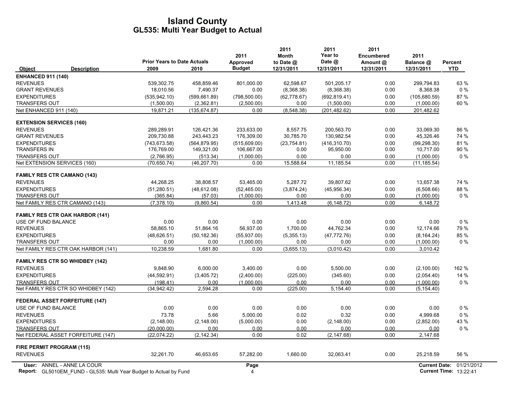|                                        |                                    |               | 2011          | 2011<br><b>Month</b> | 2011<br>Year to | 2011<br><b>Encumbered</b> | 2011                 |            |
|----------------------------------------|------------------------------------|---------------|---------------|----------------------|-----------------|---------------------------|----------------------|------------|
|                                        | <b>Prior Years to Date Actuals</b> |               | Approved      | to Date @            | Date @          | Amount @                  | Balance @            | Percent    |
| <b>Description</b><br><b>Object</b>    | 2009                               | 2010          | <b>Budget</b> | 12/31/2011           | 12/31/2011      | 12/31/2011                | 12/31/2011           | <b>YTD</b> |
| <b>ENHANCED 911 (140)</b>              |                                    |               |               |                      |                 |                           |                      |            |
| <b>REVENUES</b>                        | 539,302.75                         | 458,859.46    | 801,000.00    | 62,598.67            | 501,205.17      | 0.00                      | 299,794.83           | 63 %       |
| <b>GRANT REVENUES</b>                  | 18,010.56                          | 7,490.37      | 0.00          | (8,368.38)           | (8,368.38)      | 0.00                      | 8,368.38             | $0\%$      |
| <b>EXPENDITURES</b>                    | (535, 942.10)                      | (599, 661.89) | (798, 500.00) | (62, 778.67)         | (692, 819.41)   | 0.00                      | (105,680.59)         | 87%        |
| <b>TRANSFERS OUT</b>                   | (1,500.00)                         | (2,362.81)    | (2,500.00)    | 0.00                 | (1,500.00)      | 0.00                      | (1,000.00)           | 60 %       |
| Net ENHANCED 911 (140)                 | 19,871.21                          | (135, 674.87) | 0.00          | (8,548.38)           | (201, 482.62)   | 0.00                      | 201,482.62           |            |
| <b>EXTENSION SERVICES (160)</b>        |                                    |               |               |                      |                 |                           |                      |            |
| <b>REVENUES</b>                        | 289,289.91                         | 126,421.36    | 233,633.00    | 8,557.75             | 200,563.70      | 0.00                      | 33,069.30            | 86 %       |
| <b>GRANT REVENUES</b>                  | 209,730.88                         | 243,443.23    | 176,309.00    | 30,785.70            | 130,982.54      | 0.00                      | 45,326.46            | 74 %       |
| <b>EXPENDITURES</b>                    | (743, 673.58)                      | (564, 879.95) | (515,609.00)  | (23,754.81)          | (416, 310.70)   | 0.00                      | (99, 298.30)         | 81%        |
| <b>TRANSFERS IN</b>                    | 176,769.00                         | 149,321.00    | 106,667.00    | 0.00                 | 95,950.00       | 0.00                      | 10,717.00            | 90 %       |
| <b>TRANSFERS OUT</b>                   | (2,766.95)                         | (513.34)      | (1,000.00)    | 0.00                 | 0.00            | 0.00                      | (1,000.00)           | $0\%$      |
| Net EXTENSION SERVICES (160)           | (70, 650.74)                       | (46, 207.70)  | 0.00          | 15,588.64            | 11,185.54       | 0.00                      | (11, 185.54)         |            |
| <b>FAMILY RES CTR CAMANO (143)</b>     |                                    |               |               |                      |                 |                           |                      |            |
| <b>REVENUES</b>                        | 44,268.25                          | 38,808.57     | 53,465.00     | 5,287.72             | 39,807.62       | 0.00                      | 13,657.38            | 74 %       |
| <b>EXPENDITURES</b>                    | (51, 280.51)                       | (48, 612.08)  | (52, 465.00)  | (3,874.24)           | (45,956.34)     | 0.00                      | (6,508.66)           | 88 %       |
| <b>TRANSFERS OUT</b>                   | (365.84)                           | (57.03)       | (1,000.00)    | 0.00                 | 0.00            | 0.00                      | (1,000.00)           | $0\%$      |
| Net FAMILY RES CTR CAMANO (143)        | (7.378.10)                         | (9,860.54)    | 0.00          | 1,413.48             | (6, 148.72)     | 0.00                      | 6,148.72             |            |
| <b>FAMILY RES CTR OAK HARBOR (141)</b> |                                    |               |               |                      |                 |                           |                      |            |
| USE OF FUND BALANCE                    | 0.00                               | 0.00          | 0.00          | 0.00                 | 0.00            | 0.00                      | 0.00                 | $0\%$      |
| <b>REVENUES</b>                        | 58,865.10                          | 51,864.16     | 56,937.00     | 1.700.00             | 44,762.34       | 0.00                      | 12.174.66            | 79 %       |
| <b>EXPENDITURES</b>                    | (48, 626.51)                       | (50, 182.36)  | (55, 937.00)  | (5,355.13)           | (47, 772.76)    | 0.00                      | (8, 164.24)          | 85%        |
| <b>TRANSFERS OUT</b>                   | 0.00                               | 0.00          | (1,000.00)    | 0.00                 | 0.00            | 0.00                      | (1,000.00)           | $0\%$      |
| Net FAMILY RES CTR OAK HARBOR (141)    | 10,238.59                          | 1,681.80      | 0.00          | (3,655.13)           | (3,010.42)      | 0.00                      | 3,010.42             |            |
| <b>FAMILY RES CTR SO WHIDBEY (142)</b> |                                    |               |               |                      |                 |                           |                      |            |
| <b>REVENUES</b>                        | 9.848.90                           | 6,000.00      | 3.400.00      | 0.00                 | 5.500.00        | 0.00                      | (2,100.00)           | 162 %      |
| <b>EXPENDITURES</b>                    | (44, 592.91)                       | (3,405.72)    | (2,400.00)    | (225.00)             | (345.60)        | 0.00                      | (2,054.40)           | 14 %       |
| <b>TRANSFERS OUT</b>                   | (198.41)                           | 0.00          | (1,000.00)    | 0.00                 | 0.00            | 0.00                      | (1,000.00)           | $0\%$      |
| Net FAMILY RES CTR SO WHIDBEY (142)    | (34, 942.42)                       | 2,594.28      | 0.00          | (225.00)             | 5,154.40        | 0.00                      | (5, 154.40)          |            |
|                                        |                                    |               |               |                      |                 |                           |                      |            |
| <b>FEDERAL ASSET FORFEITURE (147)</b>  |                                    |               |               |                      |                 |                           |                      |            |
| USE OF FUND BALANCE                    | 0.00                               | 0.00          | 0.00          | 0.00                 | 0.00            | 0.00                      | 0.00                 | $0\%$      |
| <b>REVENUES</b>                        | 73.78                              | 5.66          | 5,000.00      | 0.02                 | 0.32            | 0.00                      | 4,999.68             | $0\%$      |
| <b>EXPENDITURES</b>                    | (2, 148.00)                        | (2, 148.00)   | (5,000.00)    | 0.00                 | (2, 148.00)     | 0.00                      | (2,852.00)           | 43 %       |
| <b>TRANSFERS OUT</b>                   | (20,000.00)                        | 0.00          | 0.00          | 0.00                 | 0.00            | 0.00                      | 0.00                 | $0\%$      |
| Net FEDERAL ASSET FORFEITURE (147)     | (22,074.22)                        | (2, 142.34)   | 0.00          | 0.02                 | (2, 147.68)     | 0.00                      | 2,147.68             |            |
| <b>FIRE PERMIT PROGRAM (115)</b>       |                                    |               |               |                      |                 |                           |                      |            |
| <b>REVENUES</b>                        | 32,261.70                          | 46,653.65     | 57,282.00     | 1,660.00             | 32,063.41       | 0.00                      | 25,218.59            | 56 %       |
| User: ANNEL - ANNE LA COUR             |                                    |               | Page          |                      |                 |                           | <b>Current Date:</b> | 01/21/2012 |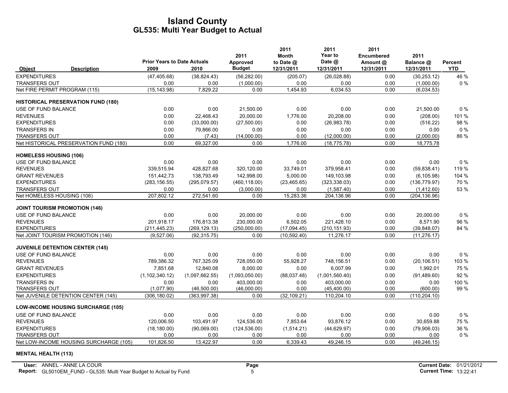|                                           | <b>Prior Years to Date Actuals</b> |                | 2011<br>Approved | 2011<br><b>Month</b><br>to Date @ | 2011<br>Year to<br>Date @ | 2011<br><b>Encumbered</b><br>Amount @ | 2011<br>Balance @ | Percent    |
|-------------------------------------------|------------------------------------|----------------|------------------|-----------------------------------|---------------------------|---------------------------------------|-------------------|------------|
| <b>Description</b><br><b>Object</b>       | 2009                               | 2010           | <b>Budget</b>    | 12/31/2011                        | 12/31/2011                | 12/31/2011                            | 12/31/2011        | <b>YTD</b> |
| <b>EXPENDITURES</b>                       | (47, 405.68)                       | (38, 824.43)   | (56, 282.00)     | (205.07)                          | (26,028.88)               | 0.00                                  | (30, 253.12)      | 46 %       |
| <b>TRANSFERS OUT</b>                      | 0.00                               | 0.00           | (1,000.00)       | 0.00                              | 0.00                      | 0.00                                  | (1,000.00)        | $0\%$      |
| Net FIRE PERMIT PROGRAM (115)             | (15, 143.98)                       | 7,829.22       | 0.00             | 1,454.93                          | 6,034.53                  | 0.00                                  | (6,034.53)        |            |
| <b>HISTORICAL PRESERVATION FUND (180)</b> |                                    |                |                  |                                   |                           |                                       |                   |            |
| <b>USE OF FUND BALANCE</b>                | 0.00                               | 0.00           | 21,500.00        | 0.00                              | 0.00                      | 0.00                                  | 21,500.00         | $0\%$      |
| <b>REVENUES</b>                           | 0.00                               | 22,468.43      | 20,000.00        | 1.776.00                          | 20.208.00                 | 0.00                                  | (208.00)          | 101%       |
| <b>EXPENDITURES</b>                       | 0.00                               | (33,000.00)    | (27,500.00)      | 0.00                              | (26,983.78)               | 0.00                                  | (516.22)          | 98 %       |
| <b>TRANSFERS IN</b>                       | 0.00                               | 79,866.00      | 0.00             | 0.00                              | 0.00                      | 0.00                                  | 0.00              | $0\%$      |
| <b>TRANSFERS OUT</b>                      | 0.00                               | (7.43)         | (14,000.00)      | 0.00                              | (12,000.00)               | 0.00                                  | (2,000.00)        | 86 %       |
| Net HISTORICAL PRESERVATION FUND (180)    | 0.00                               | 69,327.00      | 0.00             | 1,776.00                          | (18, 775.78)              | 0.00                                  | 18,775.78         |            |
| <b>HOMELESS HOUSING (106)</b>             |                                    |                |                  |                                   |                           |                                       |                   |            |
| USE OF FUND BALANCE                       | 0.00                               | 0.00           | 0.00             | 0.00                              | 0.00                      | 0.00                                  | 0.00              | $0\%$      |
| <b>REVENUES</b>                           | 339,515.94                         | 428,827.68     | 320,120.00       | 33,749.01                         | 379,958.41                | 0.00                                  | (59, 838.41)      | 119 %      |
| <b>GRANT REVENUES</b>                     | 151,442.73                         | 138,793.49     | 142,998.00       | 5,000.00                          | 149,103.98                | 0.00                                  | (6, 105.98)       | 104 %      |
| <b>EXPENDITURES</b>                       | (283, 156.55)                      | (295,079.57)   | (460, 118.00)    | (23, 465.65)                      | (323, 338.03)             | 0.00                                  | (136, 779.97)     | 70 %       |
| <b>TRANSFERS OUT</b>                      | 0.00                               | 0.00           | (3,000.00)       | 0.00                              | (1,587.40)                | 0.00                                  | (1,412.60)        | 53 %       |
| Net HOMELESS HOUSING (106)                | 207,802.12                         | 272,541.60     | 0.00             | 15,283.36                         | 204,136.96                | 0.00                                  | (204, 136.96)     |            |
| <b>JOINT TOURISM PROMOTION (146)</b>      |                                    |                |                  |                                   |                           |                                       |                   |            |
| USE OF FUND BALANCE                       | 0.00                               | 0.00           | 20,000.00        | 0.00                              | 0.00                      | 0.00                                  | 20,000.00         | $0\%$      |
| <b>REVENUES</b>                           | 201,918.17                         | 176,813.38     | 230,000.00       | 6,502.05                          | 221,428.10                | 0.00                                  | 8,571.90          | 96 %       |
| <b>EXPENDITURES</b>                       | (211, 445.23)                      | (269, 129.13)  | (250,000.00)     | (17,094.45)                       | (210, 151.93)             | 0.00                                  | (39, 848.07)      | 84 %       |
| Net JOINT TOURISM PROMOTION (146)         | (9,527.06)                         | (92, 315.75)   | 0.00             | (10, 592.40)                      | 11,276.17                 | 0.00                                  | (11, 276.17)      |            |
| <b>JUVENILE DETENTION CENTER (145)</b>    |                                    |                |                  |                                   |                           |                                       |                   |            |
| USE OF FUND BALANCE                       | 0.00                               | 0.00           | 0.00             | 0.00                              | 0.00                      | 0.00                                  | 0.00              | 0%         |
| <b>REVENUES</b>                           | 789.386.32                         | 767,325.09     | 728,050.00       | 55.928.27                         | 748,156.51                | 0.00                                  | (20, 106.51)      | 103 %      |
| <b>GRANT REVENUES</b>                     | 7.851.68                           | 12.840.08      | 8.000.00         | 0.00                              | 6.007.99                  | 0.00                                  | 1.992.01          | 75%        |
| <b>EXPENDITURES</b>                       | (1, 102, 340.12)                   | (1,097,662.55) | (1,093,050.00)   | (88,037.48)                       | (1,001,560.40)            | 0.00                                  | (91, 489.60)      | 92 %       |
| <b>TRANSFERS IN</b>                       | 0.00                               | 0.00           | 403,000.00       | 0.00                              | 403.000.00                | 0.00                                  | 0.00              | 100 %      |
| <b>TRANSFERS OUT</b>                      | (1,077.90)                         | (46,500.00)    | (46,000.00)      | 0.00                              | (45, 400.00)              | 0.00                                  | (600.00)          | 99%        |
| Net JUVENILE DETENTION CENTER (145)       | (306.180.02)                       | (363.997.38)   | 0.00             | (32.109.21)                       | 110.204.10                | 0.00                                  | (110, 204, 10)    |            |
| <b>LOW-INCOME HOUSING SURCHARGE (105)</b> |                                    |                |                  |                                   |                           |                                       |                   |            |
| USE OF FUND BALANCE                       | 0.00                               | 0.00           | 0.00             | 0.00                              | 0.00                      | 0.00                                  | 0.00              | $0\%$      |
| <b>REVENUES</b>                           | 120.006.50                         | 103,491.97     | 124,536.00       | 7,853.64                          | 93,876.12                 | 0.00                                  | 30,659.88         | 75 %       |
| <b>EXPENDITURES</b>                       | (18, 180.00)                       | (90,069,00)    | (124, 536.00)    | (1,514.21)                        | (44, 629.97)              | 0.00                                  | (79,906.03)       | 36 %       |
| <b>TRANSFERS OUT</b>                      | 0.00                               | 0.00           | 0.00             | 0.00                              | 0.00                      | 0.00                                  | 0.00              | $0\%$      |
| Net LOW-INCOME HOUSING SURCHARGE (105)    | 101,826.50                         | 13,422.97      | 0.00             | 6,339.43                          | 49,246.15                 | 0.00                                  | (49, 246.15)      |            |

#### **MENTAL HEALTH (113)**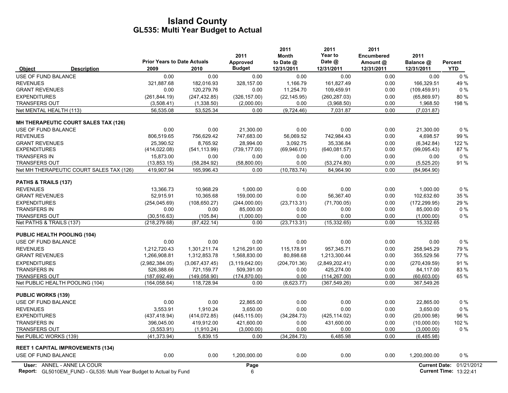|                                          | <b>Prior Years to Date Actuals</b> |                | 2011<br>Approved | 2011<br><b>Month</b><br>to Date @ | 2011<br>Year to<br>Date @ | 2011<br>Encumbered<br>Amount @ | 2011<br>Balance @    | Percent    |
|------------------------------------------|------------------------------------|----------------|------------------|-----------------------------------|---------------------------|--------------------------------|----------------------|------------|
| <b>Description</b><br><b>Object</b>      | 2009                               | 2010           | <b>Budget</b>    | 12/31/2011                        | 12/31/2011                | 12/31/2011                     | 12/31/2011           | <b>YTD</b> |
| USE OF FUND BALANCE                      | 0.00                               | 0.00           | 0.00             | 0.00                              | 0.00                      | 0.00                           | 0.00                 | 0%         |
| <b>REVENUES</b>                          | 321,887.68                         | 182,016.93     | 328,157.00       | 1,166.79                          | 161,827.49                | 0.00                           | 166,329.51           | 49%        |
| <b>GRANT REVENUES</b>                    | 0.00                               | 120,279.76     | 0.00             | 11,254.70                         | 109,459.91                | 0.00                           | (109, 459.91)        | $0\%$      |
| <b>EXPENDITURES</b>                      | (261, 844.19)                      | (247, 432.85)  | (326, 157.00)    | (22, 145.95)                      | (260, 287.03)             | 0.00                           | (65,869.97)          | 80%        |
| <b>TRANSFERS OUT</b>                     | (3,508.41)                         | (1,338.50)     | (2,000.00)       | 0.00                              | (3,968.50)                | 0.00                           | 1,968.50             | 198 %      |
| Net MENTAL HEALTH (113)                  | 56,535.08                          | 53,525.34      | 0.00             | (9,724.46)                        | 7,031.87                  | 0.00                           | (7,031.87)           |            |
| MH THERAPEUTIC COURT SALES TAX (126)     |                                    |                |                  |                                   |                           |                                |                      |            |
| USE OF FUND BALANCE                      | 0.00                               | 0.00           | 21.300.00        | 0.00                              | 0.00                      | 0.00                           | 21.300.00            | $0\%$      |
| <b>REVENUES</b>                          | 806,519.65                         | 756.629.42     | 747,683.00       | 56,069.52                         | 742,984.43                | 0.00                           | 4,698.57             | 99%        |
| <b>GRANT REVENUES</b>                    | 25.390.52                          | 8.765.92       | 28.994.00        | 3.092.75                          | 35.336.84                 | 0.00                           | (6,342.84)           | 122 %      |
| <b>EXPENDITURES</b>                      | (414, 022.08)                      | (541, 113.99)  | (739, 177.00)    | (69, 946.01)                      | (640, 081.57)             | 0.00                           | (99,095.43)          | 87%        |
| <b>TRANSFERS IN</b>                      | 15,873.00                          | 0.00           | 0.00             | 0.00                              | 0.00                      | 0.00                           | 0.00                 | $0\%$      |
| <b>TRANSFERS OUT</b>                     | (13, 853.15)                       | (58, 284.92)   | (58,800.00)      | 0.00                              | (53, 274.80)              | 0.00                           | (5,525.20)           | 91 %       |
| Net MH THERAPEUTIC COURT SALES TAX (126) | 419,907.94                         | 165,996.43     | 0.00             | (10, 783.74)                      | 84,964.90                 | 0.00                           | (84,964.90)          |            |
| PATHS & TRAILS (137)                     |                                    |                |                  |                                   |                           |                                |                      |            |
| <b>REVENUES</b>                          | 13,366.73                          | 10,968.29      | 1,000.00         | 0.00                              | 0.00                      | 0.00                           | 1,000.00             | $0\%$      |
| <b>GRANT REVENUES</b>                    | 52,915.91                          | 10,365.68      | 159,000.00       | 0.00                              | 56.367.40                 | 0.00                           | 102.632.60           | 35 %       |
| <b>EXPENDITURES</b>                      | (254, 045.69)                      | (108, 650.27)  | (244,000.00)     | (23, 713.31)                      | (71.700.05)               | 0.00                           | (172, 299.95)        | 29 %       |
| <b>TRANSFERS IN</b>                      | 0.00                               | 0.00           | 85,000.00        | 0.00                              | 0.00                      | 0.00                           | 85,000.00            | $0\%$      |
| <b>TRANSFERS OUT</b>                     | (30, 516.63)                       | (105.84)       | (1,000.00)       | 0.00                              | 0.00                      | 0.00                           | (1,000.00)           | $0\%$      |
| Net PATHS & TRAILS (137)                 | (218, 279.68)                      | (87, 422.14)   | 0.00             | (23, 713.31)                      | (15, 332.65)              | 0.00                           | 15,332.65            |            |
| <b>PUBLIC HEALTH POOLING (104)</b>       |                                    |                |                  |                                   |                           |                                |                      |            |
| USE OF FUND BALANCE                      | 0.00                               | 0.00           | 0.00             | 0.00                              | 0.00                      | 0.00                           | 0.00                 | $0\%$      |
| <b>REVENUES</b>                          | 1,212,720.43                       | 1,301,211.74   | 1,216,291.00     | 115.178.91                        | 957.345.71                | 0.00                           | 258.945.29           | 79 %       |
| <b>GRANT REVENUES</b>                    | 1,266,908.81                       | 1,312,853.78   | 1,568,830.00     | 80,898.68                         | 1,213,300.44              | 0.00                           | 355,529.56           | 77 %       |
| <b>EXPENDITURES</b>                      | (2,982,384.05)                     | (3,067,437.45) | (3, 119, 642.00) | (204, 701.36)                     | (2,849,202.41)            | 0.00                           | (270, 439.59)        | 91%        |
| <b>TRANSFERS IN</b>                      | 526,388.66                         | 721,159.77     | 509,391.00       | 0.00                              | 425,274.00                | 0.00                           | 84,117.00            | 83 %       |
| <b>TRANSFERS OUT</b>                     | (187, 692.49)                      | (149, 058.90)  | (174, 870.00)    | 0.00                              | (114, 267.00)             | 0.00                           | (60, 603.00)         | 65 %       |
| Net PUBLIC HEALTH POOLING (104)          | (164, 058.64)                      | 118,728.94     | 0.00             | (8,623.77)                        | (367, 549.26)             | 0.00                           | 367,549.26           |            |
| <b>PUBLIC WORKS (139)</b>                |                                    |                |                  |                                   |                           |                                |                      |            |
| <b>USE OF FUND BALANCE</b>               | 0.00                               | 0.00           | 22.865.00        | 0.00                              | 0.00                      | 0.00                           | 22.865.00            | $0\%$      |
| <b>REVENUES</b>                          | 3.553.91                           | 1.910.24       | 3.650.00         | 0.00                              | 0.00                      | 0.00                           | 3.650.00             | $0\%$      |
| <b>EXPENDITURES</b>                      | (437, 418.94)                      | (414, 072.85)  | (445, 115.00)    | (34, 284.73)                      | (425, 114.02)             | 0.00                           | (20,000.98)          | 96 %       |
| <b>TRANSFERS IN</b>                      | 396,045.00                         | 419,912.00     | 421,600.00       | 0.00                              | 431,600.00                | 0.00                           | (10,000.00)          | 102 %      |
| <b>TRANSFERS OUT</b>                     | (3,553.91)                         | (1,910.24)     | (3,000.00)       | 0.00                              | 0.00                      | 0.00                           | (3,000.00)           | $0\%$      |
| Net PUBLIC WORKS (139)                   | (41, 373.94)                       | 5,839.15       | 0.00             | (34, 284, 73)                     | 6,485.98                  | 0.00                           | (6,485.98)           |            |
| <b>REET 1 CAPITAL IMPROVEMENTS (134)</b> |                                    |                |                  |                                   |                           |                                |                      |            |
| USE OF FUND BALANCE                      | 0.00                               | 0.00           | 1,200,000.00     | 0.00                              | 0.00                      | 0.00                           | 1,200,000.00         | $0\%$      |
| User: ANNEL - ANNE LA COUR               |                                    |                | Page             |                                   |                           |                                | <b>Current Date:</b> | 01/21/2012 |

Report: GL5010EM\_FUND - GL535: Multi Year Budget to Actual by Fund 13:22:41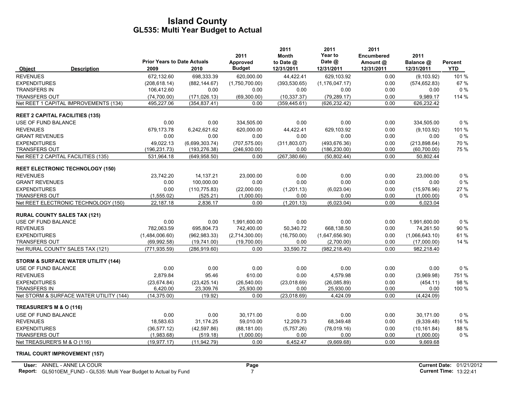|                                         |                                                | <b>Prior Years to Date Actuals</b> |                | 2011<br>Approved | 2011<br>Month<br>to Date @ | 2011<br>Year to<br>Date @ | 2011<br><b>Encumbered</b><br>Amount @ | 2011<br>Balance @ | Percent    |
|-----------------------------------------|------------------------------------------------|------------------------------------|----------------|------------------|----------------------------|---------------------------|---------------------------------------|-------------------|------------|
| Object                                  | <b>Description</b>                             | 2009                               | 2010           | <b>Budget</b>    | 12/31/2011                 | 12/31/2011                | 12/31/2011                            | 12/31/2011        | <b>YTD</b> |
| <b>REVENUES</b>                         |                                                | 672,132.60                         | 698,333.39     | 620,000.00       | 44,422.41                  | 629,103.92                | 0.00                                  | (9, 103.92)       | 101%       |
| <b>EXPENDITURES</b>                     |                                                | (208, 618.14)                      | (882, 144.67)  | (1,750,700.00)   | (393, 530.65)              | (1, 176, 047, 17)         | 0.00                                  | (574, 652.83)     | 67%        |
| <b>TRANSFERS IN</b>                     |                                                | 106,412.60                         | 0.00           | 0.00             | 0.00                       | 0.00                      | 0.00                                  | 0.00              | $0\%$      |
| <b>TRANSFERS OUT</b>                    |                                                | (74,700.00)                        | (171, 026.13)  | (69,300.00)      | (10, 337.37)               | (79, 289.17)              | 0.00                                  | 9,989.17          | 114 %      |
|                                         | Net REET 1 CAPITAL IMPROVEMENTS (134)          | 495,227.06                         | (354, 837.41)  | 0.00             | (359, 445.61)              | (626, 232.42)             | 0.00                                  | 626,232.42        |            |
| <b>REET 2 CAPITAL FACILITIES (135)</b>  |                                                |                                    |                |                  |                            |                           |                                       |                   |            |
| USE OF FUND BALANCE                     |                                                | 0.00                               | 0.00           | 334,505.00       | 0.00                       | 0.00                      | 0.00                                  | 334,505.00        | $0\%$      |
| <b>REVENUES</b>                         |                                                | 679,173.78                         | 6,242,621.62   | 620,000.00       | 44,422.41                  | 629,103.92                | 0.00                                  | (9, 103.92)       | 101%       |
| <b>GRANT REVENUES</b>                   |                                                | 0.00                               | 0.00           | 0.00             | 0.00                       | 0.00                      | 0.00                                  | 0.00              | $0\%$      |
| <b>EXPENDITURES</b>                     |                                                | 49.022.13                          | (6,699,303.74) | (707, 575.00)    | (311, 803.07)              | (493, 676.36)             | 0.00                                  | (213,898.64)      | 70 %       |
| TRANSFERS OUT                           |                                                | (196, 231.73)                      | (193, 276.38)  | (246, 930.00)    | 0.00                       | (186, 230.00)             | 0.00                                  | (60, 700.00)      | 75 %       |
| Net REET 2 CAPITAL FACILITIES (135)     |                                                | 531,964.18                         | (649, 958.50)  | 0.00             | (267, 380.66)              | (50, 802.44)              | 0.00                                  | 50,802.44         |            |
| <b>REET ELECTRONIC TECHNOLOGY (150)</b> |                                                |                                    |                |                  |                            |                           |                                       |                   |            |
| <b>REVENUES</b>                         |                                                | 23,742.20                          | 14,137.21      | 23,000.00        | 0.00                       | 0.00                      | 0.00                                  | 23,000.00         | $0\%$      |
| <b>GRANT REVENUES</b>                   |                                                | 0.00                               | 100,000.00     | 0.00             | 0.00                       | 0.00                      | 0.00                                  | 0.00              | $0\%$      |
| <b>EXPENDITURES</b>                     |                                                | 0.00                               | (110, 775.83)  | (22,000.00)      | (1,201.13)                 | (6,023.04)                | 0.00                                  | (15,976.96)       | 27 %       |
| <b>TRANSFERS OUT</b>                    |                                                | (1,555.02)                         | (525.21)       | (1,000.00)       | 0.00                       | 0.00                      | 0.00                                  | (1,000.00)        | $0\%$      |
|                                         | Net REET ELECTRONIC TECHNOLOGY (150)           | 22,187.18                          | 2,836.17       | 0.00             | (1,201.13)                 | (6,023.04)                | 0.00                                  | 6,023.04          |            |
| <b>RURAL COUNTY SALES TAX (121)</b>     |                                                |                                    |                |                  |                            |                           |                                       |                   |            |
| <b>USE OF FUND BALANCE</b>              |                                                | 0.00                               | 0.00           | 1,991,600.00     | 0.00                       | 0.00                      | 0.00                                  | 1,991,600.00      | $0\%$      |
| <b>REVENUES</b>                         |                                                | 782,063.59                         | 695,804.73     | 742,400.00       | 50,340.72                  | 668,138.50                | 0.00                                  | 74,261.50         | 90 %       |
| <b>EXPENDITURES</b>                     |                                                | (1,484,006.60)                     | (962, 983.33)  | (2,714,300.00)   | (16,750.00)                | (1,647,656.90)            | 0.00                                  | (1,066,643.10)    | 61%        |
| <b>TRANSFERS OUT</b>                    |                                                | (69,992.58)                        | (19,741.00)    | (19,700.00)      | 0.00                       | (2,700.00)                | 0.00                                  | (17,000.00)       | 14%        |
| Net RURAL COUNTY SALES TAX (121)        |                                                | (771, 935.59)                      | (286, 919.60)  | 0.00             | 33,590.72                  | (982, 218.40)             | 0.00                                  | 982,218.40        |            |
|                                         | <b>STORM &amp; SURFACE WATER UTILITY (144)</b> |                                    |                |                  |                            |                           |                                       |                   |            |
| USE OF FUND BALANCE                     |                                                | 0.00                               | 0.00           | 0.00             | 0.00                       | 0.00                      | 0.00                                  | 0.00              | 0%         |
| <b>REVENUES</b>                         |                                                | 2.879.84                           | 95.46          | 610.00           | 0.00                       | 4,579.98                  | 0.00                                  | (3,969.98)        | 751 %      |
| <b>EXPENDITURES</b>                     |                                                | (23, 674.84)                       | (23, 425, 14)  | (26, 540.00)     | (23,018.69)                | (26,085.89)               | 0.00                                  | (454.11)          | 98%        |
| <b>TRANSFERS IN</b>                     |                                                | 6,420.00                           | 23,309.76      | 25,930.00        | 0.00                       | 25.930.00                 | 0.00                                  | 0.00              | 100 %      |
|                                         | Net STORM & SURFACE WATER UTILITY (144)        | (14.375.00)                        | (19.92)        | 0.00             | (23,018.69)                | 4.424.09                  | 0.00                                  | (4,424.09)        |            |
| TREASURER'S M & O (116)                 |                                                |                                    |                |                  |                            |                           |                                       |                   |            |
| USE OF FUND BALANCE                     |                                                | 0.00                               | 0.00           | 30,171.00        | 0.00                       | 0.00                      | 0.00                                  | 30,171.00         | $0\%$      |
| <b>REVENUES</b>                         |                                                | 18,583.63                          | 31,174.25      | 59,010.00        | 12,209.73                  | 68,349.48                 | 0.00                                  | (9,339.48)        | 116 %      |
| <b>EXPENDITURES</b>                     |                                                | (36, 577.12)                       | (42,597.86)    | (88, 181.00)     | (5,757.26)                 | (78,019.16)               | 0.00                                  | (10, 161.84)      | 88%        |
| <b>TRANSFERS OUT</b>                    |                                                | (1,983.68)                         | (519.18)       | (1,000.00)       | 0.00                       | 0.00                      | 0.00                                  | (1,000.00)        | 0%         |
| Net TREASURER'S M & O (116)             |                                                | (19, 977.17)                       | (11, 942.79)   | 0.00             | 6,452.47                   | (9,669.68)                | 0.00                                  | 9,669.68          |            |

#### **TRIAL COURT IMPROVEMENT (157)**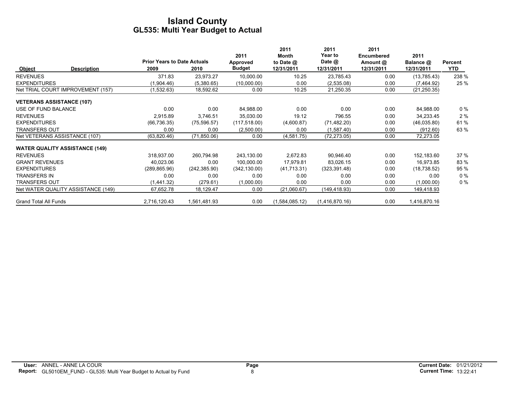|                                  |                                       |                                    |               |               | 2011           | 2011           | 2011              |              |            |
|----------------------------------|---------------------------------------|------------------------------------|---------------|---------------|----------------|----------------|-------------------|--------------|------------|
|                                  |                                       |                                    |               | 2011          | Month          | <b>Year to</b> | <b>Encumbered</b> | 2011         |            |
|                                  |                                       | <b>Prior Years to Date Actuals</b> |               | Approved      | to Date $@$    | Date @         | Amount @          | Balance @    | Percent    |
| Object                           | <b>Description</b>                    | 2009                               | 2010          | <b>Budget</b> | 12/31/2011     | 12/31/2011     | 12/31/2011        | 12/31/2011   | <b>YTD</b> |
| <b>REVENUES</b>                  |                                       | 371.83                             | 23,973.27     | 10,000.00     | 10.25          | 23,785.43      | 0.00              | (13,785.43)  | 238 %      |
| <b>EXPENDITURES</b>              |                                       | (1,904.46)                         | (5,380.65)    | (10,000.00)   | 0.00           | (2,535.08)     | 0.00              | (7,464.92)   | 25 %       |
|                                  | Net TRIAL COURT IMPROVEMENT (157)     | (1,532.63)                         | 18,592.62     | 0.00          | 10.25          | 21,250.35      | 0.00              | (21, 250.35) |            |
| <b>VETERANS ASSISTANCE (107)</b> |                                       |                                    |               |               |                |                |                   |              |            |
| USE OF FUND BALANCE              |                                       | 0.00                               | 0.00          | 84,988.00     | 0.00           | 0.00           | 0.00              | 84,988.00    | $0\%$      |
| <b>REVENUES</b>                  |                                       | 2,915.89                           | 3,746.51      | 35,030.00     | 19.12          | 796.55         | 0.00              | 34,233.45    | 2%         |
| <b>EXPENDITURES</b>              |                                       | (66, 736.35)                       | (75, 596.57)  | (117, 518.00) | (4,600.87)     | (71, 482.20)   | 0.00              | (46,035.80)  | 61%        |
| <b>TRANSFERS OUT</b>             |                                       | 0.00                               | 0.00          | (2,500.00)    | 0.00           | (1,587.40)     | 0.00              | (912.60)     | 63 %       |
|                                  | Net VETERANS ASSISTANCE (107)         | (63,820.46)                        | (71, 850.06)  | 0.00          | (4,581.75)     | (72, 273.05)   | 0.00              | 72,273.05    |            |
|                                  | <b>WATER QUALITY ASSISTANCE (149)</b> |                                    |               |               |                |                |                   |              |            |
| <b>REVENUES</b>                  |                                       | 318,937.00                         | 260,794.98    | 243,130.00    | 2,672.83       | 90,946.40      | 0.00              | 152,183.60   | 37 %       |
| <b>GRANT REVENUES</b>            |                                       | 40,023.06                          | 0.00          | 100,000.00    | 17,979.81      | 83,026.15      | 0.00              | 16,973.85    | 83 %       |
| <b>EXPENDITURES</b>              |                                       | (289, 865.96)                      | (242, 385.90) | (342, 130.00) | (41,713.31)    | (323, 391.48)  | 0.00              | (18, 738.52) | 95 %       |
| <b>TRANSFERS IN</b>              |                                       | 0.00                               | 0.00          | 0.00          | 0.00           | 0.00           | 0.00              | 0.00         | 0%         |
| <b>TRANSFERS OUT</b>             |                                       | (1,441.32)                         | (279.61)      | (1,000.00)    | 0.00           | 0.00           | 0.00              | (1,000.00)   | $0\%$      |
|                                  | Net WATER QUALITY ASSISTANCE (149)    | 67,652.78                          | 18,129.47     | 0.00          | (21,060.67)    | (149,418.93)   | 0.00              | 149,418.93   |            |
| <b>Grand Total All Funds</b>     |                                       | 2,716,120.43                       | 1,561,481.93  | 0.00          | (1,584,085.12) | (1,416,870.16) | 0.00              | 1,416,870.16 |            |